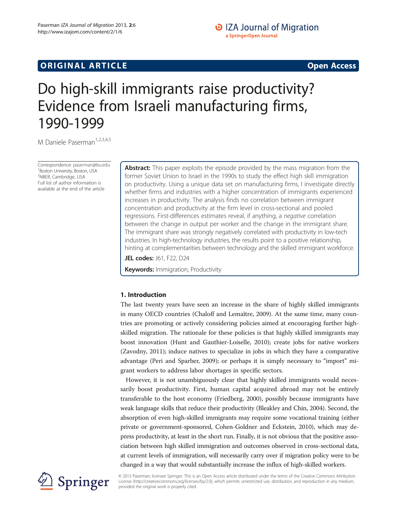# **ORIGINAL ARTICLE CONSERVANCE IN A LOCAL CONSERVANCE IN A LOCAL CONSERVANCE IN A LOCAL CONSERVANCE IN A LOCAL CONSERVANCE IN A LOCAL CONSERVANCE IN A LOCAL CONSERVANCE IN A LOCAL CONSERVANCE IN A LOCAL CONSERVANCE IN A L**

# Do high-skill immigrants raise productivity? Evidence from Israeli manufacturing firms, 1990-1999

M Daniele Paserman<sup>1,2,3,4,5</sup>

Correspondence: [paserman@bu.edu](mailto:paserman@bu.edu) <sup>1</sup> <sup>1</sup> Boston University, Boston, USA 2 NBER, Cambridge, USA Full list of author information is available at the end of the article

Abstract: This paper exploits the episode provided by the mass migration from the former Soviet Union to Israel in the 1990s to study the effect high skill immigration on productivity. Using a unique data set on manufacturing firms, I investigate directly whether firms and industries with a higher concentration of immigrants experienced increases in productivity. The analysis finds no correlation between immigrant concentration and productivity at the firm level in cross-sectional and pooled regressions. First-differences estimates reveal, if anything, a negative correlation between the change in output per worker and the change in the immigrant share. The immigrant share was strongly negatively correlated with productivity in low-tech industries. In high-technology industries, the results point to a positive relationship, hinting at complementarities between technology and the skilled immigrant workforce.

JEL codes: J61, F22, D24

**Keywords: Immigration, Productivity** 

# 1. Introduction

The last twenty years have seen an increase in the share of highly skilled immigrants in many OECD countries (Chaloff and Lemaître, [2009\)](#page-29-0). At the same time, many countries are promoting or actively considering policies aimed at encouraging further highskilled migration. The rationale for these policies is that highly skilled immigrants may boost innovation (Hunt and Gauthier-Loiselle, [2010](#page-29-0)); create jobs for native workers (Zavodny, [2011](#page-30-0)); induce natives to specialize in jobs in which they have a comparative advantage (Peri and Sparber, [2009](#page-30-0)); or perhaps it is simply necessary to "import" migrant workers to address labor shortages in specific sectors.

However, it is not unambiguously clear that highly skilled immigrants would necessarily boost productivity. First, human capital acquired abroad may not be entirely transferable to the host economy (Friedberg, [2000](#page-29-0)), possibly because immigrants have weak language skills that reduce their productivity (Bleakley and Chin, [2004](#page-29-0)). Second, the absorption of even high-skilled immigrants may require some vocational training (either private or government-sponsored, Cohen-Goldner and Eckstein, [2010\)](#page-29-0), which may depress productivity, at least in the short run. Finally, it is not obvious that the positive association between high skilled immigration and outcomes observed in cross-sectional data, at current levels of immigration, will necessarily carry over if migration policy were to be changed in a way that would substantially increase the influx of high-skilled workers.



© 2013 Paserman; licensee Springer. This is an Open Access article distributed under the terms of the Creative Commons Attribution License [\(http://creativecommons.org/licenses/by/2.0\)](http://creativecommons.org/licenses/by/2.0), which permits unrestricted use, distribution, and reproduction in any medium, provided the original work is properly cited.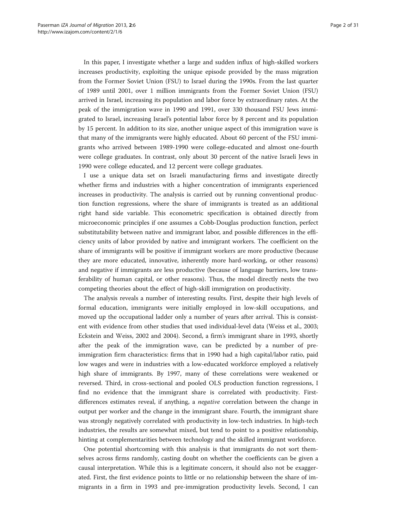In this paper, I investigate whether a large and sudden influx of high-skilled workers increases productivity, exploiting the unique episode provided by the mass migration from the Former Soviet Union (FSU) to Israel during the 1990s. From the last quarter of 1989 until 2001, over 1 million immigrants from the Former Soviet Union (FSU) arrived in Israel, increasing its population and labor force by extraordinary rates. At the peak of the immigration wave in 1990 and 1991, over 330 thousand FSU Jews immigrated to Israel, increasing Israel's potential labor force by 8 percent and its population by 15 percent. In addition to its size, another unique aspect of this immigration wave is that many of the immigrants were highly educated. About 60 percent of the FSU immigrants who arrived between 1989-1990 were college-educated and almost one-fourth were college graduates. In contrast, only about 30 percent of the native Israeli Jews in 1990 were college educated, and 12 percent were college graduates.

I use a unique data set on Israeli manufacturing firms and investigate directly whether firms and industries with a higher concentration of immigrants experienced increases in productivity. The analysis is carried out by running conventional production function regressions, where the share of immigrants is treated as an additional right hand side variable. This econometric specification is obtained directly from microeconomic principles if one assumes a Cobb-Douglas production function, perfect substitutability between native and immigrant labor, and possible differences in the efficiency units of labor provided by native and immigrant workers. The coefficient on the share of immigrants will be positive if immigrant workers are more productive (because they are more educated, innovative, inherently more hard-working, or other reasons) and negative if immigrants are less productive (because of language barriers, low transferability of human capital, or other reasons). Thus, the model directly nests the two competing theories about the effect of high-skill immigration on productivity.

The analysis reveals a number of interesting results. First, despite their high levels of formal education, immigrants were initially employed in low-skill occupations, and moved up the occupational ladder only a number of years after arrival. This is consistent with evidence from other studies that used individual-level data (Weiss et al., [2003](#page-30-0); Eckstein and Weiss, [2002](#page-29-0) and [2004\)](#page-29-0). Second, a firm's immigrant share in 1993, shortly after the peak of the immigration wave, can be predicted by a number of preimmigration firm characteristics: firms that in 1990 had a high capital/labor ratio, paid low wages and were in industries with a low-educated workforce employed a relatively high share of immigrants. By 1997, many of these correlations were weakened or reversed. Third, in cross-sectional and pooled OLS production function regressions, I find no evidence that the immigrant share is correlated with productivity. Firstdifferences estimates reveal, if anything, a negative correlation between the change in output per worker and the change in the immigrant share. Fourth, the immigrant share was strongly negatively correlated with productivity in low-tech industries. In high-tech industries, the results are somewhat mixed, but tend to point to a positive relationship, hinting at complementarities between technology and the skilled immigrant workforce.

One potential shortcoming with this analysis is that immigrants do not sort themselves across firms randomly, casting doubt on whether the coefficients can be given a causal interpretation. While this is a legitimate concern, it should also not be exaggerated. First, the first evidence points to little or no relationship between the share of immigrants in a firm in 1993 and pre-immigration productivity levels. Second, I can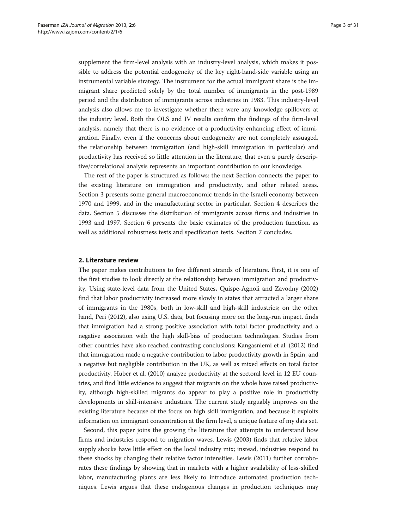supplement the firm-level analysis with an industry-level analysis, which makes it possible to address the potential endogeneity of the key right-hand-side variable using an instrumental variable strategy. The instrument for the actual immigrant share is the immigrant share predicted solely by the total number of immigrants in the post-1989 period and the distribution of immigrants across industries in 1983. This industry-level analysis also allows me to investigate whether there were any knowledge spillovers at the industry level. Both the OLS and IV results confirm the findings of the firm-level analysis, namely that there is no evidence of a productivity-enhancing effect of immigration. Finally, even if the concerns about endogeneity are not completely assuaged, the relationship between immigration (and high-skill immigration in particular) and productivity has received so little attention in the literature, that even a purely descriptive/correlational analysis represents an important contribution to our knowledge.

The rest of the paper is structured as follows: the next Section connects the paper to the existing literature on immigration and productivity, and other related areas. Section [3](#page-3-0) presents some general macroeconomic trends in the Israeli economy between 1970 and 1999, and in the manufacturing sector in particular. Section [4](#page-5-0) describes the data. Section [5](#page-8-0) discusses the distribution of immigrants across firms and industries in 1993 and 1997. Section [6](#page-14-0) presents the basic estimates of the production function, as well as additional robustness tests and specification tests. Section [7](#page-23-0) concludes.

#### 2. Literature review

The paper makes contributions to five different strands of literature. First, it is one of the first studies to look directly at the relationship between immigration and productivity. Using state-level data from the United States, Quispe-Agnoli and Zavodny ([2002](#page-30-0)) find that labor productivity increased more slowly in states that attracted a larger share of immigrants in the 1980s, both in low-skill and high-skill industries; on the other hand, Peri [\(2012\)](#page-30-0), also using U.S. data, but focusing more on the long-run impact, finds that immigration had a strong positive association with total factor productivity and a negative association with the high skill-bias of production technologies. Studies from other countries have also reached contrasting conclusions: Kangasniemi et al. [\(2012\)](#page-29-0) find that immigration made a negative contribution to labor productivity growth in Spain, and a negative but negligible contribution in the UK, as well as mixed effects on total factor productivity. Huber et al. [\(2010](#page-29-0)) analyze productivity at the sectoral level in 12 EU countries, and find little evidence to suggest that migrants on the whole have raised productivity, although high-skilled migrants do appear to play a positive role in productivity developments in skill-intensive industries. The current study arguably improves on the existing literature because of the focus on high skill immigration, and because it exploits information on immigrant concentration at the firm level, a unique feature of my data set.

Second, this paper joins the growing the literature that attempts to understand how firms and industries respond to migration waves. Lewis ([2003](#page-29-0)) finds that relative labor supply shocks have little effect on the local industry mix; instead, industries respond to these shocks by changing their relative factor intensities. Lewis [\(2011\)](#page-29-0) further corroborates these findings by showing that in markets with a higher availability of less-skilled labor, manufacturing plants are less likely to introduce automated production techniques. Lewis argues that these endogenous changes in production techniques may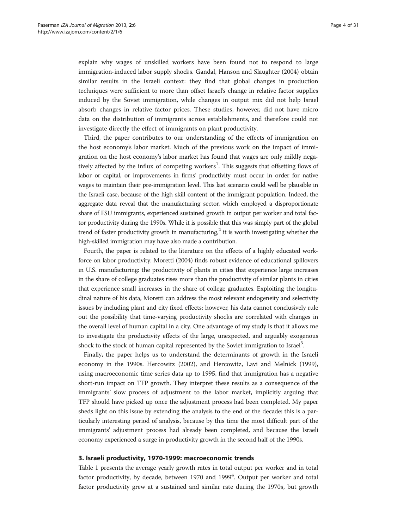<span id="page-3-0"></span>explain why wages of unskilled workers have been found not to respond to large immigration-induced labor supply shocks. Gandal, Hanson and Slaughter ([2004\)](#page-29-0) obtain similar results in the Israeli context: they find that global changes in production techniques were sufficient to more than offset Israel's change in relative factor supplies induced by the Soviet immigration, while changes in output mix did not help Israel absorb changes in relative factor prices. These studies, however, did not have micro data on the distribution of immigrants across establishments, and therefore could not investigate directly the effect of immigrants on plant productivity.

Third, the paper contributes to our understanding of the effects of immigration on the host economy's labor market. Much of the previous work on the impact of immigration on the host economy's labor market has found that wages are only mildly negatively affected by the influx of competing workers<sup>1</sup>. This suggests that offsetting flows of labor or capital, or improvements in firms' productivity must occur in order for native wages to maintain their pre-immigration level. This last scenario could well be plausible in the Israeli case, because of the high skill content of the immigrant population. Indeed, the aggregate data reveal that the manufacturing sector, which employed a disproportionate share of FSU immigrants, experienced sustained growth in output per worker and total factor productivity during the 1990s. While it is possible that this was simply part of the global trend of faster productivity growth in manufacturing, $<sup>2</sup>$  it is worth investigating whether the</sup> high-skilled immigration may have also made a contribution.

Fourth, the paper is related to the literature on the effects of a highly educated workforce on labor productivity. Moretti ([2004](#page-30-0)) finds robust evidence of educational spillovers in U.S. manufacturing: the productivity of plants in cities that experience large increases in the share of college graduates rises more than the productivity of similar plants in cities that experience small increases in the share of college graduates. Exploiting the longitudinal nature of his data, Moretti can address the most relevant endogeneity and selectivity issues by including plant and city fixed effects: however, his data cannot conclusively rule out the possibility that time-varying productivity shocks are correlated with changes in the overall level of human capital in a city. One advantage of my study is that it allows me to investigate the productivity effects of the large, unexpected, and arguably exogenous shock to the stock of human capital represented by the Soviet immigration to Israel<sup>3</sup>.

Finally, the paper helps us to understand the determinants of growth in the Israeli economy in the 1990s. Hercowitz ([2002](#page-29-0)), and Hercowitz, Lavi and Melnick ([1999](#page-29-0)), using macroeconomic time series data up to 1995, find that immigration has a negative short-run impact on TFP growth. They interpret these results as a consequence of the immigrants' slow process of adjustment to the labor market, implicitly arguing that TFP should have picked up once the adjustment process had been completed. My paper sheds light on this issue by extending the analysis to the end of the decade: this is a particularly interesting period of analysis, because by this time the most difficult part of the immigrants' adjustment process had already been completed, and because the Israeli economy experienced a surge in productivity growth in the second half of the 1990s.

#### 3. Israeli productivity, 1970-1999: macroeconomic trends

Table [1](#page-4-0) presents the average yearly growth rates in total output per worker and in total factor productivity, by decade, between 1970 and 1999 $^4$ . Output per worker and total factor productivity grew at a sustained and similar rate during the 1970s, but growth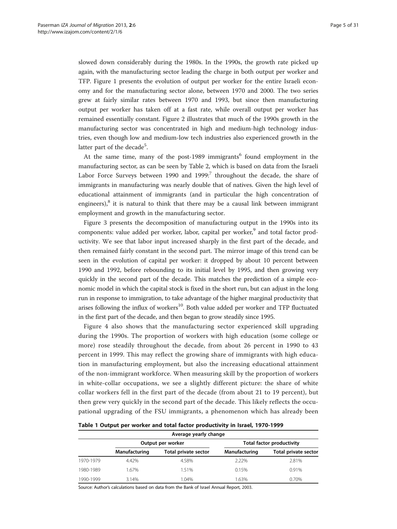<span id="page-4-0"></span>slowed down considerably during the 1980s. In the 1990s, the growth rate picked up again, with the manufacturing sector leading the charge in both output per worker and TFP. Figure [1](#page-5-0) presents the evolution of output per worker for the entire Israeli economy and for the manufacturing sector alone, between 1970 and 2000. The two series grew at fairly similar rates between 1970 and 1993, but since then manufacturing output per worker has taken off at a fast rate, while overall output per worker has remained essentially constant. Figure [2](#page-5-0) illustrates that much of the 1990s growth in the manufacturing sector was concentrated in high and medium-high technology industries, even though low and medium-low tech industries also experienced growth in the latter part of the decade<sup>5</sup>.

At the same time, many of the post-1989 immigrants<sup>6</sup> found employment in the manufacturing sector, as can be seen by Table [2](#page-6-0), which is based on data from the Israeli Labor Force Surveys between 1990 and 1999: $^7$  throughout the decade, the share of immigrants in manufacturing was nearly double that of natives. Given the high level of educational attainment of immigrants (and in particular the high concentration of engineers), $8$  it is natural to think that there may be a causal link between immigrant employment and growth in the manufacturing sector.

Figure [3](#page-6-0) presents the decomposition of manufacturing output in the 1990s into its components: value added per worker, labor, capital per worker,<sup>9</sup> and total factor productivity. We see that labor input increased sharply in the first part of the decade, and then remained fairly constant in the second part. The mirror image of this trend can be seen in the evolution of capital per worker: it dropped by about 10 percent between 1990 and 1992, before rebounding to its initial level by 1995, and then growing very quickly in the second part of the decade. This matches the prediction of a simple economic model in which the capital stock is fixed in the short run, but can adjust in the long run in response to immigration, to take advantage of the higher marginal productivity that arises following the influx of workers<sup>10</sup>. Both value added per worker and TFP fluctuated in the first part of the decade, and then began to grow steadily since 1995.

Figure [4](#page-7-0) also shows that the manufacturing sector experienced skill upgrading during the 1990s. The proportion of workers with high education (some college or more) rose steadily throughout the decade, from about 26 percent in 1990 to 43 percent in 1999. This may reflect the growing share of immigrants with high education in manufacturing employment, but also the increasing educational attainment of the non-immigrant workforce. When measuring skill by the proportion of workers in white-collar occupations, we see a slightly different picture: the share of white collar workers fell in the first part of the decade (from about 21 to 19 percent), but then grew very quickly in the second part of the decade. This likely reflects the occupational upgrading of the FSU immigrants, a phenomenon which has already been

Table 1 Output per worker and total factor productivity in Israel, 1970-1999

| Average yearly change |               |                      |               |                                  |  |  |  |  |
|-----------------------|---------------|----------------------|---------------|----------------------------------|--|--|--|--|
|                       |               | Output per worker    |               | <b>Total factor productivity</b> |  |  |  |  |
|                       | Manufacturing | Total private sector | Manufacturing | Total private sector             |  |  |  |  |
| 1970-1979             | 4.42%         | 4.58%                | 2.22%         | 2.81%                            |  |  |  |  |
| 1980-1989             | .67%          | 1.51%                | 0.15%         | 0.91%                            |  |  |  |  |
| 1990-1999             | 3.14%         | 1.04%                | .63%          | 0.70%                            |  |  |  |  |

Source: Author's calculations based on data from the Bank of Israel Annual Report, [2003.](#page-29-0)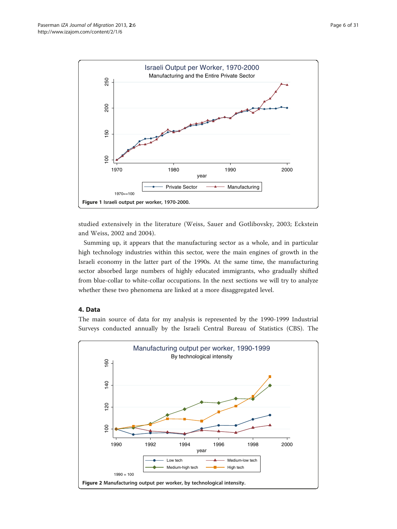<span id="page-5-0"></span>

studied extensively in the literature (Weiss, Sauer and Gotlibovsky, [2003;](#page-30-0) Eckstein and Weiss, [2002](#page-29-0) and [2004](#page-29-0)).

Summing up, it appears that the manufacturing sector as a whole, and in particular high technology industries within this sector, were the main engines of growth in the Israeli economy in the latter part of the 1990s. At the same time, the manufacturing sector absorbed large numbers of highly educated immigrants, who gradually shifted from blue-collar to white-collar occupations. In the next sections we will try to analyze whether these two phenomena are linked at a more disaggregated level.

## 4. Data

The main source of data for my analysis is represented by the 1990-1999 Industrial

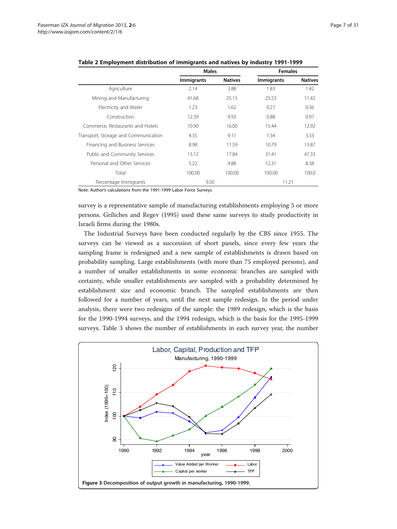|                                      | <b>Males</b>      |                | <b>Females</b>    |                |
|--------------------------------------|-------------------|----------------|-------------------|----------------|
|                                      | <b>Immigrants</b> | <b>Natives</b> | <b>Immigrants</b> | <b>Natives</b> |
| Agriculture                          | 2.14              | 3.88           | 1.83              | 1.42           |
| Mining and Manufacturing             | 41.68             | 25.15          | 25.53             | 11.42          |
| Electricity and Water                | 1.23              | 1.62           | 0.27              | 0.36           |
| Construction                         | 12.39             | 9.93           | 0.88              | 0.97           |
| Commerce, Restaurants and Hotels     | 10.90             | 16.00          | 15.44             | 12.92          |
| Transport, Storage and Communication | 4.35              | 9.11           | 1.54              | 3.33           |
| Financing and Business Services      | 8.98              | 11.59          | 10.79             | 13.87          |
| Public and Community Services        | 13.12             | 17.84          | 31.41             | 47.33          |
| Personal and Other Services          | 5.22              | 4.88           | 12.31             | 8.38           |
| Total                                | 100.00            | 100.00         | 100.00            | 100.0          |
| Percentage Immigrants                | 9.50              |                | 11.21             |                |

<span id="page-6-0"></span>Table 2 Employment distribution of immigrants and natives by industry 1991-1999

Note: Author's calculations from the 1991-1999 Labor Force Surveys.

survey is a representative sample of manufacturing establishments employing 5 or more persons. Griliches and Regev ([1995](#page-29-0)) used these same surveys to study productivity in Israeli firms during the 1980s.

The Industrial Surveys have been conducted regularly by the CBS since 1955. The surveys can be viewed as a succession of short panels, since every few years the sampling frame is redesigned and a new sample of establishments is drawn based on probability sampling. Large establishments (with more than 75 employed persons), and a number of smaller establishments in some economic branches are sampled with certainty, while smaller establishments are sampled with a probability determined by establishment size and economic branch. The sampled establishments are then followed for a number of years, until the next sample redesign. In the period under analysis, there were two redesigns of the sample: the 1989 redesign, which is the basis for the 1990-1994 surveys, and the 1994 redesign, which is the basis for the 1995-1999 surveys. Table [3](#page-7-0) shows the number of establishments in each survey year, the number

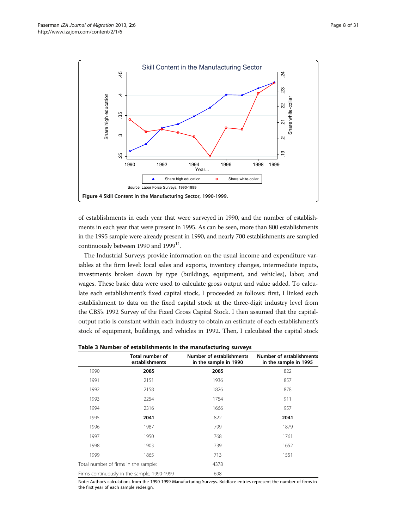<span id="page-7-0"></span>

of establishments in each year that were surveyed in 1990, and the number of establishments in each year that were present in 1995. As can be seen, more than 800 establishments in the 1995 sample were already present in 1990, and nearly 700 establishments are sampled continuously between 1990 and  $1999<sup>11</sup>$ .

The Industrial Surveys provide information on the usual income and expenditure variables at the firm level: local sales and exports, inventory changes, intermediate inputs, investments broken down by type (buildings, equipment, and vehicles), labor, and wages. These basic data were used to calculate gross output and value added. To calculate each establishment's fixed capital stock, I proceeded as follows: first, I linked each establishment to data on the fixed capital stock at the three-digit industry level from the CBS's 1992 Survey of the Fixed Gross Capital Stock. I then assumed that the capitaloutput ratio is constant within each industry to obtain an estimate of each establishment's

| Table 3 Number of establishments in the manufacturing surveys |  |  |  |  |  |  |
|---------------------------------------------------------------|--|--|--|--|--|--|
|---------------------------------------------------------------|--|--|--|--|--|--|

|      | <b>Total number of</b><br>establishments    | Number of establishments<br>in the sample in 1990 | <b>Number of establishments</b><br>in the sample in 1995 |
|------|---------------------------------------------|---------------------------------------------------|----------------------------------------------------------|
| 1990 | 2085                                        | 2085                                              | 822                                                      |
| 1991 | 2151                                        | 1936                                              | 857                                                      |
| 1992 | 2158                                        | 1826                                              | 878                                                      |
| 1993 | 2254                                        | 1754                                              | 911                                                      |
| 1994 | 2316                                        | 1666                                              | 957                                                      |
| 1995 | 2041                                        | 822                                               | 2041                                                     |
| 1996 | 1987                                        | 799                                               | 1879                                                     |
| 1997 | 1950                                        | 768                                               | 1761                                                     |
| 1998 | 1903                                        | 739                                               | 1652                                                     |
| 1999 | 1865                                        | 713                                               | 1551                                                     |
|      | Total number of firms in the sample:        | 4378                                              |                                                          |
|      | Firms continuously in the sample, 1990-1999 | 698                                               |                                                          |

Note: Author's calculations from the 1990-1999 Manufacturing Surveys. Boldface entries represent the number of firms in the first year of each sample redesign.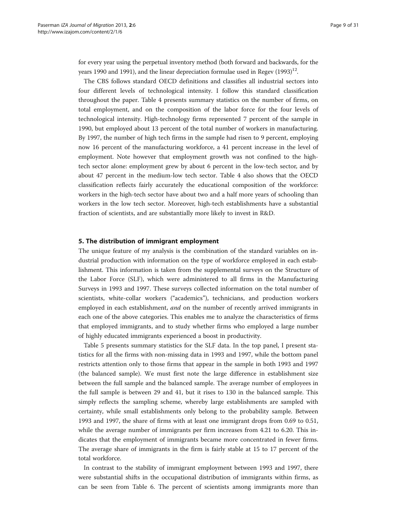<span id="page-8-0"></span>for every year using the perpetual inventory method (both forward and backwards, for the years 1990 and 1991), and the linear depreciation formulae used in Regev  $(1993)^{12}$  $(1993)^{12}$ .

The CBS follows standard OECD definitions and classifies all industrial sectors into four different levels of technological intensity. I follow this standard classification throughout the paper. Table [4](#page-9-0) presents summary statistics on the number of firms, on total employment, and on the composition of the labor force for the four levels of technological intensity. High-technology firms represented 7 percent of the sample in 1990, but employed about 13 percent of the total number of workers in manufacturing. By 1997, the number of high tech firms in the sample had risen to 9 percent, employing now 16 percent of the manufacturing workforce, a 41 percent increase in the level of employment. Note however that employment growth was not confined to the hightech sector alone: employment grew by about 6 percent in the low-tech sector, and by about 47 percent in the medium-low tech sector. Table [4](#page-9-0) also shows that the OECD classification reflects fairly accurately the educational composition of the workforce: workers in the high-tech sector have about two and a half more years of schooling than workers in the low tech sector. Moreover, high-tech establishments have a substantial fraction of scientists, and are substantially more likely to invest in R&D.

#### 5. The distribution of immigrant employment

The unique feature of my analysis is the combination of the standard variables on industrial production with information on the type of workforce employed in each establishment. This information is taken from the supplemental surveys on the Structure of the Labor Force (SLF), which were administered to all firms in the Manufacturing Surveys in 1993 and 1997. These surveys collected information on the total number of scientists, white-collar workers ("academics"), technicians, and production workers employed in each establishment, and on the number of recently arrived immigrants in each one of the above categories. This enables me to analyze the characteristics of firms that employed immigrants, and to study whether firms who employed a large number of highly educated immigrants experienced a boost in productivity.

Table [5](#page-10-0) presents summary statistics for the SLF data. In the top panel, I present statistics for all the firms with non-missing data in 1993 and 1997, while the bottom panel restricts attention only to those firms that appear in the sample in both 1993 and 1997 (the balanced sample). We must first note the large difference in establishment size between the full sample and the balanced sample. The average number of employees in the full sample is between 29 and 41, but it rises to 130 in the balanced sample. This simply reflects the sampling scheme, whereby large establishments are sampled with certainty, while small establishments only belong to the probability sample. Between 1993 and 1997, the share of firms with at least one immigrant drops from 0.69 to 0.51, while the average number of immigrants per firm increases from 4.21 to 6.20. This indicates that the employment of immigrants became more concentrated in fewer firms. The average share of immigrants in the firm is fairly stable at 15 to 17 percent of the total workforce.

In contrast to the stability of immigrant employment between 1993 and 1997, there were substantial shifts in the occupational distribution of immigrants within firms, as can be seen from Table [6](#page-10-0). The percent of scientists among immigrants more than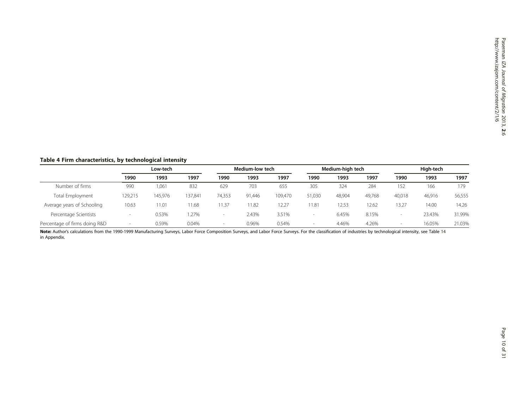# <span id="page-9-0"></span>Table 4 Firm characteristics, by technological intensity

|                               | Low-tech |         |         | Medium-low tech |        | Medium-high tech |        | Hiah-tech |        |        |        |        |
|-------------------------------|----------|---------|---------|-----------------|--------|------------------|--------|-----------|--------|--------|--------|--------|
|                               | 1990     | 1993    | 1997    | 1990            | 1993   | 1997             | 1990   | 1993      | 1997   | 1990   | 1993   | 1997   |
| Number of firms               | 990      | .061    | 832     | 629             | 703    | 655              | 305    | 324       | 284    | 152    | 166    | 179    |
| Total Employment              | 129,215  | 145,976 | 137,841 | 74,353          | 91.446 | 109.470          | 51,030 | 48,904    | 49,768 | 40,018 | 46,916 | 56,555 |
| Average years of Schooling    | 10.63    | 1.01    | 11.68   | 1.37            | 1.82   | 12.27            | 11.81  | 12.53     | 12.62  | 13.27  | 14.00  | 14.26  |
| Percentage Scientists         | $\sim$   | 0.53%   | .27%    |                 | 2.43%  | 3.51%            | $\sim$ | 6.45%     | 8.15%  |        | 23.43% | 31.99% |
| Percentage of firms doing R&D |          | 0.59%   | 0.04%   |                 | 0.96%  | 0.54%            |        | 4.46%     | 4.26%  |        | 16.05% | 21.03% |

Note: Author's calculations from the 1990-1999 Manufacturing Surveys, Labor Force Composition Surveys, and Labor Force Surveys. For the classification of industries by technological intensity, see Table [14](#page-26-0) in Appendix.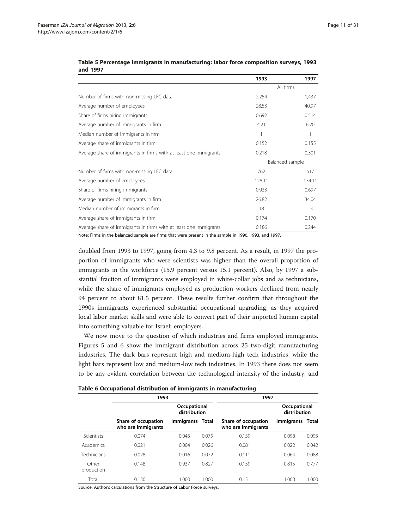|                                                                   | 1993            | 1997   |
|-------------------------------------------------------------------|-----------------|--------|
|                                                                   | All firms       |        |
| Number of firms with non-missing LFC data                         | 2,254           | 1,437  |
| Average number of employees                                       | 28.53           | 40.97  |
| Share of firms hiring immigrants                                  | 0.692           | 0.514  |
| Average number of immigrants in firm                              | 4.21            | 6.20   |
| Median number of immigrants in firm                               |                 |        |
| Average share of immigrants in firm                               | 0.152           | 0.155  |
| Average share of immigrants in firms with at least one immigrants | 0.218           | 0.301  |
|                                                                   | Balanced sample |        |
| Number of firms with non-missing LFC data                         | 762             | 617    |
| Average number of employees                                       | 128.11          | 134.11 |
| Share of firms hiring immigrants                                  | 0.933           | 0.697  |
| Average number of immigrants in firm                              | 26.82           | 34.04  |
| Median number of immigrants in firm                               | 18              | 13     |
| Average share of immigrants in firm                               | 0.174           | 0.170  |
| Average share of immigrants in firms with at least one immigrants | 0.186           | 0.244  |

<span id="page-10-0"></span>Table 5 Percentage immigrants in manufacturing: labor force composition surveys, 1993 and 1997

Note: Firms in the balanced sample are firms that were present in the sample in 1990, 1993, and 1997.

doubled from 1993 to 1997, going from 4.3 to 9.8 percent. As a result, in 1997 the proportion of immigrants who were scientists was higher than the overall proportion of immigrants in the workforce (15.9 percent versus 15.1 percent). Also, by 1997 a substantial fraction of immigrants were employed in white-collar jobs and as technicians, while the share of immigrants employed as production workers declined from nearly 94 percent to about 81.5 percent. These results further confirm that throughout the 1990s immigrants experienced substantial occupational upgrading, as they acquired local labor market skills and were able to convert part of their imported human capital into something valuable for Israeli employers.

We now move to the question of which industries and firms employed immigrants. Figures [5](#page-11-0) and [6](#page-11-0) show the immigrant distribution across 25 two-digit manufacturing industries. The dark bars represent high and medium-high tech industries, while the light bars represent low and medium-low tech industries. In 1993 there does not seem to be any evident correlation between the technological intensity of the industry, and

| Table 6 Occupational distribution of immigrants in manufacturing |  |  |
|------------------------------------------------------------------|--|--|
|                                                                  |  |  |

|                     | 1993                                      |                              | 1997  |                                           |                              |       |
|---------------------|-------------------------------------------|------------------------------|-------|-------------------------------------------|------------------------------|-------|
|                     |                                           | Occupational<br>distribution |       |                                           | Occupational<br>distribution |       |
|                     | Share of occupation<br>who are immigrants | <b>Immigrants Total</b>      |       | Share of occupation<br>who are immigrants | <b>Immigrants</b>            | Total |
| Scientists          | 0.074                                     | 0.043                        | 0.075 | 0.159                                     | 0.098                        | 0.093 |
| Academics           | 0.021                                     | 0.004                        | 0.026 | 0.081                                     | 0.022                        | 0.042 |
| Technicians         | 0.028                                     | 0.016                        | 0.072 | 0.111                                     | 0.064                        | 0.088 |
| Other<br>production | 0.148                                     | 0.937                        | 0.827 | 0.159                                     | 0.815                        | 0.777 |
| Total               | 0.130                                     | 1.000                        | 1.000 | 0.151                                     | 1.000                        | 1.000 |

Source: Author's calculations from the Structure of Labor Force surveys.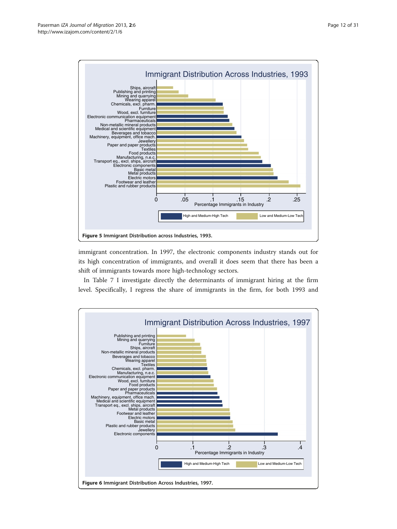<span id="page-11-0"></span>

immigrant concentration. In 1997, the electronic components industry stands out for its high concentration of immigrants, and overall it does seem that there has been a shift of immigrants towards more high-technology sectors.

In Table [7](#page-12-0) I investigate directly the determinants of immigrant hiring at the firm level. Specifically, I regress the share of immigrants in the firm, for both 1993 and

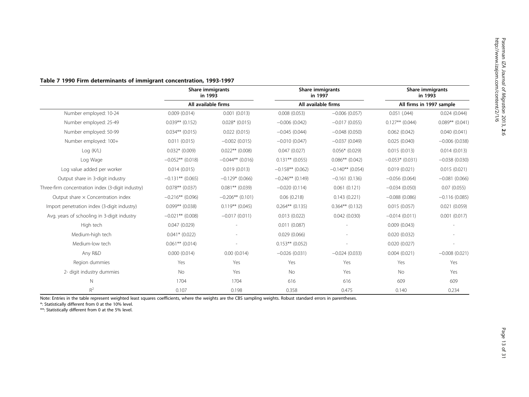Paserman

IZA

Journal of Migration

2013, 2:6

# <span id="page-12-0"></span>Table 7 1990 Firm determinants of immigrant concentration, 1993-1997

|                                                   | <b>Share immigrants</b><br>in 1993 |                     |                    | Share immigrants<br>in 1997 | <b>Share immigrants</b><br>in 1993 |                          |
|---------------------------------------------------|------------------------------------|---------------------|--------------------|-----------------------------|------------------------------------|--------------------------|
|                                                   |                                    | All available firms |                    | All available firms         |                                    | All firms in 1997 sample |
| Number employed: 10-24                            | 0.009(0.014)                       | 0.001(0.013)        | 0.008(0.053)       | $-0.006(0.057)$             | $0.051$ $(.044)$                   | 0.024(0.044)             |
| Number employed: 25-49                            | $0.039**$ (0.152)                  | $0.028*$ (0.015)    | $-0.006(0.042)$    | $-0.017(0.055)$             | $0.127**$ (0.044)                  | $0.089**$ (0.041)        |
| Number employed: 50-99                            | $0.034**$ (0.015)                  | 0.022(0.015)        | $-0.045(0.044)$    | $-0.048(0.050)$             | 0.062(0.042)                       | 0.040(0.041)             |
| Number employed: 100+                             | 0.011(0.015)                       | $-0.002(0.015)$     | $-0.010(0.047)$    | $-0.037(0.049)$             | 0.025(0.040)                       | $-0.006(0.038)$          |
| Log (K/L)                                         | $0.032*$ (0.009)                   | $0.022***$ (0.008)  | 0.047(0.027)       | $0.056*$ (0.029)            | 0.015(0.013)                       | 0.014(0.013)             |
| Log Wage                                          | $-0.052**$ (0.018)                 | $-0.044**$ (0.016)  | $0.131***$ (0.055) | $0.086**$ (0.042)           | $-0.053*$ (0.031)                  | $-0.038(0.030)$          |
| Log value added per worker                        | 0.014(0.015)                       | 0.019(0.013)        | $-0.158**$ (0.062) | $-0.140**$ (0.054)          | 0.019(0.021)                       | 0.015(0.021)             |
| Output share in 3-digit industry                  | $-0.131**$ (0.065)                 | $-0.129*$ (0.066)   | $-0.246**$ (0.149) | $-0.161(0.136)$             | $-0.056(0.064)$                    | $-0.081(0.066)$          |
| Three-firm concentration index (3-digit industry) | $0.078**$ (0.037)                  | $0.081**$ (0.039)   | $-0.020(0.114)$    | 0.061(0.121)                | $-0.034(0.050)$                    | 0.07(0.055)              |
| Output share $\times$ Concentration index         | $-0.216**$ (0.096)                 | $-0.206**$ (0.101)  | 0.06(0.218)        | 0.143(0.221)                | $-0.088(0.086)$                    | $-0.116(0.085)$          |
| Import penetration index (3-digit industry)       | $0.099**$ (0.038)                  | $0.119***$ (0.045)  | $0.264**$ (0.135)  | $0.364**$ (0.132)           | 0.015(0.057)                       | 0.021(0.059)             |
| Avg. years of schooling in 3-digit industry       | $-0.021**$ (0.008)                 | $-0.017(0.011)$     | 0.013(0.022)       | 0.042(0.030)                | $-0.014(0.011)$                    | 0.001(0.017)             |
| High tech                                         | 0.047(0.029)                       |                     | 0.011(0.087)       |                             | 0.009(0.043)                       |                          |
| Medium-high tech                                  | $0.041*$ (0.022)                   |                     | 0.029(0.066)       |                             | 0.020(0.032)                       |                          |
| Medium-low tech                                   | $0.061**$ (0.014)                  |                     | $0.153**$ (0.052)  |                             | 0.020(0.027)                       |                          |
| Any R&D                                           | 0.000(0.014)                       | 0.00(0.014)         | $-0.026(0.031)$    | $-0.024(0.033)$             | 0.004(0.021)                       | $-0.008(0.021)$          |
| Region dummies                                    | Yes                                | Yes                 | Yes                | Yes                         | Yes                                | Yes                      |
| 2- digit industry dummies                         | <b>No</b>                          | Yes                 | <b>No</b>          | Yes                         | <b>No</b>                          | Yes                      |
| N                                                 | 1704                               | 1704                | 616                | 616                         | 609                                | 609                      |
| $R^2$                                             | 0.107                              | 0.198               | 0.358              | 0.475                       | 0.140                              | 0.234                    |

Note: Entries in the table represent weighted least squares coefficients, where the weights are the CBS sampling weights. Robust standard errors in parentheses.

\*: Statistically different from 0 at the 10% level.

\*\*: Statistically different from 0 at the 5% level.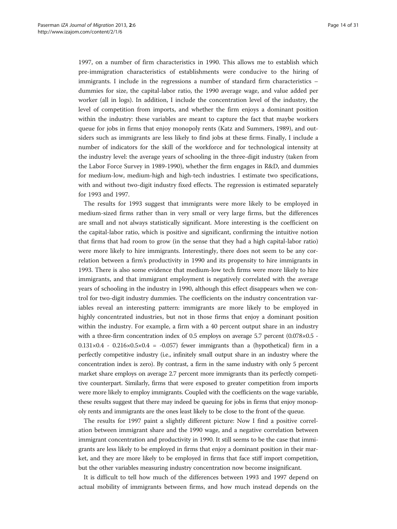1997, on a number of firm characteristics in 1990. This allows me to establish which pre-immigration characteristics of establishments were conducive to the hiring of immigrants. I include in the regressions a number of standard firm characteristics – dummies for size, the capital-labor ratio, the 1990 average wage, and value added per worker (all in logs). In addition, I include the concentration level of the industry, the level of competition from imports, and whether the firm enjoys a dominant position within the industry: these variables are meant to capture the fact that maybe workers queue for jobs in firms that enjoy monopoly rents (Katz and Summers, [1989](#page-29-0)), and outsiders such as immigrants are less likely to find jobs at these firms. Finally, I include a number of indicators for the skill of the workforce and for technological intensity at the industry level: the average years of schooling in the three-digit industry (taken from the Labor Force Survey in 1989-1990), whether the firm engages in R&D, and dummies for medium-low, medium-high and high-tech industries. I estimate two specifications, with and without two-digit industry fixed effects. The regression is estimated separately for 1993 and 1997.

The results for 1993 suggest that immigrants were more likely to be employed in medium-sized firms rather than in very small or very large firms, but the differences are small and not always statistically significant. More interesting is the coefficient on the capital-labor ratio, which is positive and significant, confirming the intuitive notion that firms that had room to grow (in the sense that they had a high capital-labor ratio) were more likely to hire immigrants. Interestingly, there does not seem to be any correlation between a firm's productivity in 1990 and its propensity to hire immigrants in 1993. There is also some evidence that medium-low tech firms were more likely to hire immigrants, and that immigrant employment is negatively correlated with the average years of schooling in the industry in 1990, although this effect disappears when we control for two-digit industry dummies. The coefficients on the industry concentration variables reveal an interesting pattern: immigrants are more likely to be employed in highly concentrated industries, but not in those firms that enjoy a dominant position within the industry. For example, a firm with a 40 percent output share in an industry with a three-firm concentration index of 0.5 employs on average 5.7 percent  $(0.078 \times 0.5$  - $0.131\times0.4$  -  $0.216\times0.5\times0.4$  =  $-0.057$ ) fewer immigrants than a (hypothetical) firm in a perfectly competitive industry (i.e., infinitely small output share in an industry where the concentration index is zero). By contrast, a firm in the same industry with only 5 percent market share employs on average 2.7 percent more immigrants than its perfectly competitive counterpart. Similarly, firms that were exposed to greater competition from imports were more likely to employ immigrants. Coupled with the coefficients on the wage variable, these results suggest that there may indeed be queuing for jobs in firms that enjoy monopoly rents and immigrants are the ones least likely to be close to the front of the queue.

The results for 1997 paint a slightly different picture: Now I find a positive correlation between immigrant share and the 1990 wage, and a negative correlation between immigrant concentration and productivity in 1990. It still seems to be the case that immigrants are less likely to be employed in firms that enjoy a dominant position in their market, and they are more likely to be employed in firms that face stiff import competition, but the other variables measuring industry concentration now become insignificant.

It is difficult to tell how much of the differences between 1993 and 1997 depend on actual mobility of immigrants between firms, and how much instead depends on the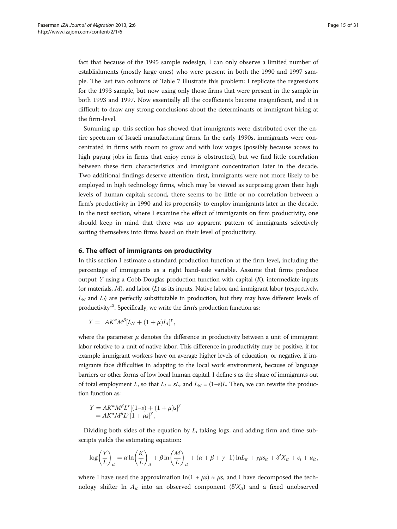<span id="page-14-0"></span>fact that because of the 1995 sample redesign, I can only observe a limited number of establishments (mostly large ones) who were present in both the 1990 and 1997 sample. The last two columns of Table [7](#page-12-0) illustrate this problem: I replicate the regressions for the 1993 sample, but now using only those firms that were present in the sample in both 1993 and 1997. Now essentially all the coefficients become insignificant, and it is difficult to draw any strong conclusions about the determinants of immigrant hiring at the firm-level.

Summing up, this section has showed that immigrants were distributed over the entire spectrum of Israeli manufacturing firms. In the early 1990s, immigrants were concentrated in firms with room to grow and with low wages (possibly because access to high paying jobs in firms that enjoy rents is obstructed), but we find little correlation between these firm characteristics and immigrant concentration later in the decade. Two additional findings deserve attention: first, immigrants were not more likely to be employed in high technology firms, which may be viewed as surprising given their high levels of human capital; second, there seems to be little or no correlation between a firm's productivity in 1990 and its propensity to employ immigrants later in the decade. In the next section, where I examine the effect of immigrants on firm productivity, one should keep in mind that there was no apparent pattern of immigrants selectively sorting themselves into firms based on their level of productivity.

#### 6. The effect of immigrants on productivity

In this section I estimate a standard production function at the firm level, including the percentage of immigrants as a right hand-side variable. Assume that firms produce output Y using a Cobb-Douglas production function with capital  $(K)$ , intermediate inputs (or materials,  $M$ ), and labor  $(L)$  as its inputs. Native labor and immigrant labor (respectively,  $L_N$  and  $L_l$ ) are perfectly substitutable in production, but they may have different levels of productivity<sup>13</sup>. Specifically, we write the firm's production function as:

$$
Y = AK^{\alpha}M^{\beta}[L_N + (1+\mu)L_I]^{\gamma},
$$

where the parameter  $\mu$  denotes the difference in productivity between a unit of immigrant labor relative to a unit of native labor. This difference in productivity may be positive, if for example immigrant workers have on average higher levels of education, or negative, if immigrants face difficulties in adapting to the local work environment, because of language barriers or other forms of low local human capital. I define  $s$  as the share of immigrants out of total employment L, so that  $L_I = sL$ , and  $L_N = (1-s)L$ . Then, we can rewrite the production function as:

$$
Y = AK^{\alpha}M^{\beta}L^{y}[(1-s) + (1 + \mu)s]^{y}
$$
  
= AK^{\alpha}M^{\beta}L^{y}[1 + \mu s]^{y},

Dividing both sides of the equation by  $L$ , taking logs, and adding firm and time subscripts yields the estimating equation:

$$
\log\left(\frac{Y}{L}\right)_{it} = \alpha \ln\left(\frac{K}{L}\right)_{it} + \beta \ln\left(\frac{M}{L}\right)_{it} + (\alpha + \beta + \gamma - 1) \ln L_{it} + \gamma \mu s_{it} + \delta' X_{it} + c_i + u_{it},
$$

where I have used the approximation  $ln(1 + \mu s) \approx \mu s$ , and I have decomposed the technology shifter ln  $A_{it}$  into an observed component ( $\delta' X_{it}$ ) and a fixed unobserved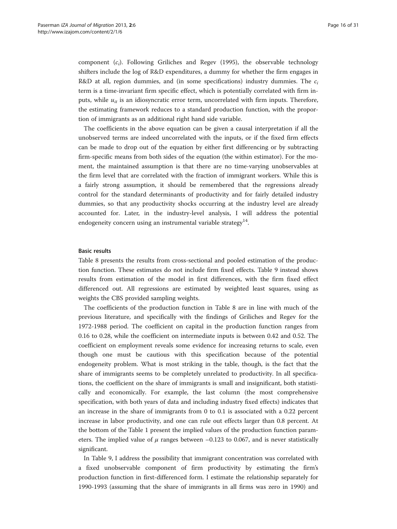component  $(c_i)$ . Following Griliches and Regev ([1995](#page-29-0)), the observable technology shifters include the log of R&D expenditures, a dummy for whether the firm engages in R&D at all, region dummies, and (in some specifications) industry dummies. The  $c_i$ term is a time-invariant firm specific effect, which is potentially correlated with firm inputs, while  $u_{it}$  is an idiosyncratic error term, uncorrelated with firm inputs. Therefore, the estimating framework reduces to a standard production function, with the proportion of immigrants as an additional right hand side variable.

The coefficients in the above equation can be given a causal interpretation if all the unobserved terms are indeed uncorrelated with the inputs, or if the fixed firm effects can be made to drop out of the equation by either first differencing or by subtracting firm-specific means from both sides of the equation (the within estimator). For the moment, the maintained assumption is that there are no time-varying unobservables at the firm level that are correlated with the fraction of immigrant workers. While this is a fairly strong assumption, it should be remembered that the regressions already control for the standard determinants of productivity and for fairly detailed industry dummies, so that any productivity shocks occurring at the industry level are already accounted for. Later, in the industry-level analysis, I will address the potential endogeneity concern using an instrumental variable strategy $^{14}$ .

#### Basic results

Table [8](#page-16-0) presents the results from cross-sectional and pooled estimation of the production function. These estimates do not include firm fixed effects. Table [9](#page-17-0) instead shows results from estimation of the model in first differences, with the firm fixed effect differenced out. All regressions are estimated by weighted least squares, using as weights the CBS provided sampling weights.

The coefficients of the production function in Table [8](#page-16-0) are in line with much of the previous literature, and specifically with the findings of Griliches and Regev for the 1972-1988 period. The coefficient on capital in the production function ranges from 0.16 to 0.28, while the coefficient on intermediate inputs is between 0.42 and 0.52. The coefficient on employment reveals some evidence for increasing returns to scale, even though one must be cautious with this specification because of the potential endogeneity problem. What is most striking in the table, though, is the fact that the share of immigrants seems to be completely unrelated to productivity. In all specifications, the coefficient on the share of immigrants is small and insignificant, both statistically and economically. For example, the last column (the most comprehensive specification, with both years of data and including industry fixed effects) indicates that an increase in the share of immigrants from 0 to 0.1 is associated with a 0.22 percent increase in labor productivity, and one can rule out effects larger than 0.8 percent. At the bottom of the Table [1](#page-4-0) present the implied values of the production function parameters. The implied value of  $\mu$  ranges between –0.123 to 0.067, and is never statistically significant.

In Table [9,](#page-17-0) I address the possibility that immigrant concentration was correlated with a fixed unobservable component of firm productivity by estimating the firm's production function in first-differenced form. I estimate the relationship separately for 1990-1993 (assuming that the share of immigrants in all firms was zero in 1990) and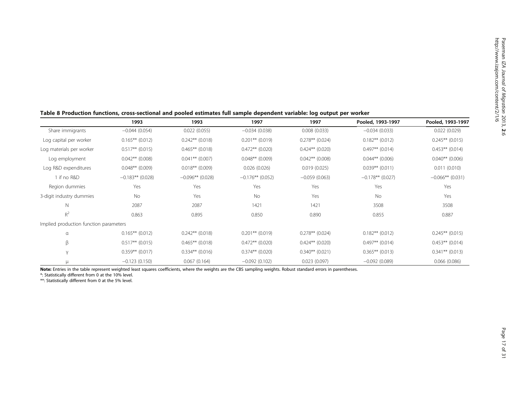Paserman

IZA

|                                        | 1993               | 1993               | 1997               | 1997              | Pooled, 1993-1997  | Pooled, 1993-1997  |
|----------------------------------------|--------------------|--------------------|--------------------|-------------------|--------------------|--------------------|
| Share immigrants                       | $-0.044(0.054)$    | 0.022(0.055)       | $-0.034(0.038)$    | 0.008(0.033)      | $-0.034(0.033)$    | 0.022(0.029)       |
| Log capital per worker                 | $0.165**$ (0.012)  | $0.242**$ (0.018)  | $0.201**$ (0.019)  | $0.278**$ (0.024) | $0.182**$ (0.012)  | $0.245**$ (0.015)  |
| Log materials per worker               | $0.517**$ (0.015)  | $0.465**$ (0.018)  | $0.472**$ (0.020)  | $0.424**$ (0.020) | $0.497**$ (0.014)  | $0.453**$ (0.014)  |
| Log employment                         | $0.042**$ (0.008)  | $0.041**$ (0.007)  | $0.048**$ (0.009)  | $0.042**$ (0.008) | $0.044**$ (0.006)  | $0.040**$ (0.006)  |
| Log R&D expenditures                   | $0.048**$ (0.009)  | $0.018**$ (0.009)  | 0.026(0.026)       | 0.019(0.025)      | $0.039**$ (0.011)  | 0.011(0.010)       |
| 1 if no R&D                            | $-0.183**$ (0.028) | $-0.096**$ (0.028) | $-0.176**$ (0.052) | $-0.059(0.063)$   | $-0.178**$ (0.027) | $-0.066**$ (0.031) |
| Region dummies                         | Yes                | Yes                | Yes                | Yes               | Yes                | Yes                |
| 3-digit industry dummies               | No.                | Yes                | No                 | Yes               | <b>No</b>          | Yes                |
| N                                      | 2087               | 2087               | 1421               | 1421              | 3508               | 3508               |
| $R^2$                                  | 0.863              | 0.895              | 0.850              | 0.890             | 0.855              | 0.887              |
| Implied production function parameters |                    |                    |                    |                   |                    |                    |
| α                                      | $0.165**$ (0.012)  | $0.242**$ (0.018)  | $0.201**$ (0.019)  | $0.278**$ (0.024) | $0.182**$ (0.012)  | $0.245**$ (0.015)  |
| β                                      | $0.517**$ (0.015)  | $0.465**$ (0.018)  | $0.472**$ (0.020)  | $0.424**$ (0.020) | $0.497**$ (0.014)  | $0.453**$ (0.014)  |
| $\vee$                                 | $0.359**$ (0.017)  | $0.334**$ (0.016)  | $0.374**$ (0.020)  | $0.340**$ (0.021) | $0.365**$ (0.013)  | $0.341**$ (0.013)  |
|                                        | $-0.123(0.150)$    | 0.067(0.164)       | $-0.092(0.102)$    | 0.023(0.097)      | $-0.092(0.089)$    | 0.066(0.086)       |

#### <span id="page-16-0"></span>Table 8 Production functions, cross-sectional and pooled estimates full sample dependent variable: log output per worker

Note: Entries in the table represent weighted least squares coefficients, where the weights are the CBS sampling weights. Robust standard errors in parentheses.

\*: Statistically different from 0 at the 10% level.

\*\*: Statistically different from 0 at the 5% level.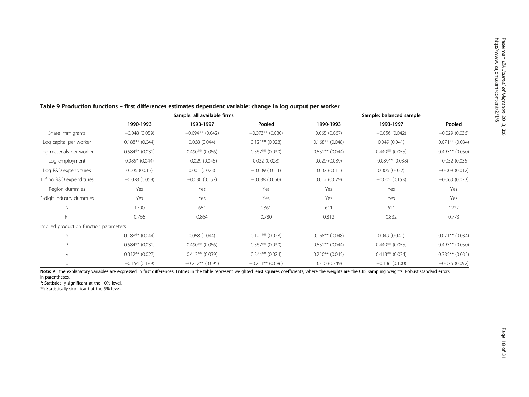|                                        |                   | Sample: all available firms |                    |                   | Sample: balanced sample |                   |
|----------------------------------------|-------------------|-----------------------------|--------------------|-------------------|-------------------------|-------------------|
|                                        | 1990-1993         | 1993-1997                   | Pooled             | 1990-1993         | 1993-1997               | Pooled            |
| Share Immigrants                       | $-0.048(0.059)$   | $-0.094**$ (0.042)          | $-0.073**$ (0.030) | 0.065(0.067)      | $-0.056(0.042)$         | $-0.029(0.036)$   |
| Log capital per worker                 | $0.188**$ (0.044) | 0.068(0.044)                | $0.121**$ (0.028)  | $0.168**$ (0.048) | 0.049(0.041)            | $0.071**$ (0.034) |
| Log materials per worker               | $0.584**$ (0.031) | $0.490**$ (0.056)           | $0.567**$ (0.030)  | $0.651**$ (0.044) | $0.449**$ (0.055)       | $0.493**$ (0.050) |
| Log employment                         | $0.085*$ (0.044)  | $-0.029(0.045)$             | 0.032(0.028)       | 0.029(0.039)      | $-0.089**$ (0.038)      | $-0.052(0.035)$   |
| Log R&D expenditures                   | 0.006(0.013)      | 0.001(0.023)                | $-0.009(0.011)$    | 0.007(0.015)      | 0.006(0.022)            | $-0.009(0.012)$   |
| 1 if no R&D expenditures               | $-0.028(0.059)$   | $-0.030(0.152)$             | $-0.088(0.060)$    | 0.012(0.079)      | $-0.005(0.153)$         | $-0.063(0.073)$   |
| Region dummies                         | Yes               | Yes                         | Yes                | Yes               | Yes                     | Yes               |
| 3-digit industry dummies               | Yes               | Yes                         | Yes                | Yes               | Yes                     | Yes               |
| Ν                                      | 1700              | 661                         | 2361               | 611               | 611                     | 1222              |
| $R^2$                                  | 0.766             | 0.864                       | 0.780              | 0.812             | 0.832                   | 0.773             |
| Implied production function parameters |                   |                             |                    |                   |                         |                   |
| α                                      | $0.188**$ (0.044) | 0.068(0.044)                | $0.121**$ (0.028)  | $0.168**$ (0.048) | 0.049(0.041)            | $0.071**$ (0.034) |
| β                                      | $0.584**$ (0.031) | $0.490**$ (0.056)           | $0.567**$ (0.030)  | $0.651**$ (0.044) | $0.449**$ (0.055)       | $0.493**$ (0.050) |
| $\vee$                                 | $0.312**$ (0.027) | $0.413**$ (0.039)           | $0.344**$ (0.024)  | $0.210**$ (0.045) | $0.413**$ (0.034)       | $0.385**$ (0.035) |
|                                        | $-0.154(0.189)$   | $-0.227**$ (0.095)          | $-0.211**$ (0.086) | 0.310(0.349)      | $-0.136(0.100)$         | $-0.076(0.092)$   |

### <span id="page-17-0"></span>Table 9 Production functions – first differences estimates dependent variable: change in log output per worker

Note: All the explanatory variables are expressed in first differences. Entries in the table represent weighted least squares coefficients, where the weights are the CBS sampling weights. Robust standard errors in parentheses.

\*: Statistically significant at the 10% level.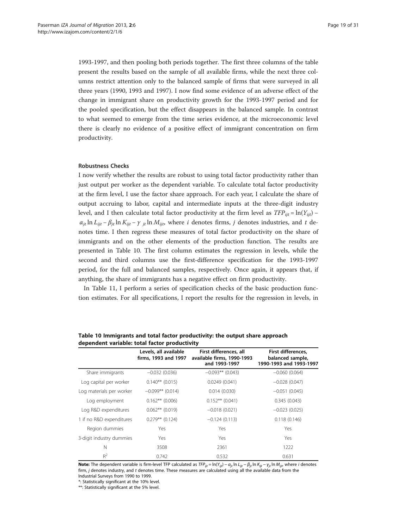1993-1997, and then pooling both periods together. The first three columns of the table present the results based on the sample of all available firms, while the next three columns restrict attention only to the balanced sample of firms that were surveyed in all three years (1990, 1993 and 1997). I now find some evidence of an adverse effect of the change in immigrant share on productivity growth for the 1993-1997 period and for the pooled specification, but the effect disappears in the balanced sample. In contrast to what seemed to emerge from the time series evidence, at the microeconomic level there is clearly no evidence of a positive effect of immigrant concentration on firm productivity.

#### Robustness Checks

I now verify whether the results are robust to using total factor productivity rather than just output per worker as the dependent variable. To calculate total factor productivity at the firm level, I use the factor share approach. For each year, I calculate the share of output accruing to labor, capital and intermediate inputs at the three-digit industry level, and I then calculate total factor productivity at the firm level as  $TFP_{ijt} = \ln(Y_{ijt})$  –  $\alpha_{jt} \ln L_{ijt} - \beta_{jt} \ln K_{ijt} - \gamma_{jt} \ln M_{ijt}$ , where *i* denotes firms, *j* denotes industries, and *t* denotes time. I then regress these measures of total factor productivity on the share of immigrants and on the other elements of the production function. The results are presented in Table 10. The first column estimates the regression in levels, while the second and third columns use the first-difference specification for the 1993-1997 period, for the full and balanced samples, respectively. Once again, it appears that, if anything, the share of immigrants has a negative effect on firm productivity.

In Table [11,](#page-19-0) I perform a series of specification checks of the basic production function estimates. For all specifications, I report the results for the regression in levels, in

|                          | Levels, all available<br>firms, 1993 and 1997 | First differences, all<br>available firms, 1990-1993<br>and 1993-1997 | First differences,<br>balanced sample,<br>1990-1993 and 1993-1997 |
|--------------------------|-----------------------------------------------|-----------------------------------------------------------------------|-------------------------------------------------------------------|
| Share immigrants         | $-0.032(0.036)$                               | $-0.093**$ (0.043)                                                    | $-0.060(0.064)$                                                   |
| Log capital per worker   | $0.140**$ (0.015)                             | 0.0249(0.041)                                                         | $-0.028(0.047)$                                                   |
| Log materials per worker | $-0.099**$ (0.014)                            | 0.014(0.030)                                                          | $-0.051(0.045)$                                                   |
| Log employment           | $0.162**$ (0.006)                             | $0.152**$ (0.041)                                                     | 0.345(0.043)                                                      |
| Log R&D expenditures     | $0.062**$ (0.019)                             | $-0.018(0.021)$                                                       | $-0.023(0.025)$                                                   |
| 1 if no R&D expenditures | $0.279**$ (0.124)                             | $-0.124(0.113)$                                                       | 0.118(0.146)                                                      |
| Region dummies           | Yes                                           | Yes                                                                   | Yes                                                               |
| 3-digit industry dummies | Yes                                           | Yes                                                                   | Yes                                                               |
| N                        | 3508                                          | 2361                                                                  | 1222                                                              |
| $R^2$                    | 0.742                                         | 0.532                                                                 | 0.631                                                             |

Table 10 Immigrants and total factor productivity: the output share approach dependent variable: total factor productivity

Note: The dependent variable is firm-level TFP calculated as  $TF_{ijt} = \ln(Y_{ijt}) - a_{jt} \ln \sum_{ijt} - \beta_{jt} \ln X_{ijt} - \gamma_{jt} \ln M_{ijt}$ , where *i* denotes firm, j denotes industry, and t denotes time. These measures are calculated using all the available data from the Industrial Surveys from 1990 to 1999.

\*: Statistically significant at the 10% level.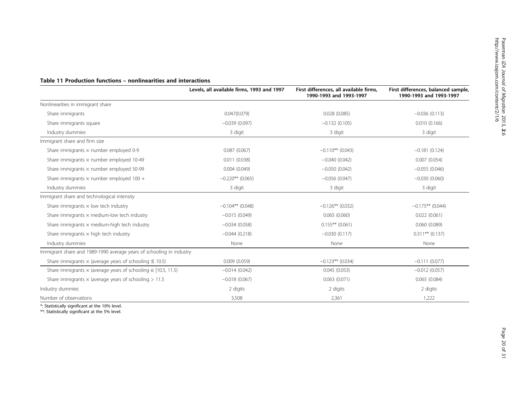# <span id="page-19-0"></span>Table 11 Production functions – nonlinearities and interactions

|                                                                          | Levels, all available firms, 1993 and 1997 | First differences, all available firms,<br>1990-1993 and 1993-1997 | First differences, balanced sample,<br>1990-1993 and 1993-1997 |
|--------------------------------------------------------------------------|--------------------------------------------|--------------------------------------------------------------------|----------------------------------------------------------------|
| Nonlinearities in immigrant share                                        |                                            |                                                                    |                                                                |
| Share immigrants                                                         | 0.047(0.079)                               | 0.028(0.085)                                                       | $-0.036(0.113)$                                                |
| Share immigrants square                                                  | $-0.039(0.097)$                            | $-0.132(0.105)$                                                    | 0.010(0.166)                                                   |
| Industry dummies                                                         | 3 digit                                    | 3 digit                                                            | 3 digit                                                        |
| Immigrant share and firm size                                            |                                            |                                                                    |                                                                |
| Share immigrants $\times$ number employed 0-9                            | 0.087(0.067)                               | $-0.110***$ (0.043)                                                | $-0.181(0.124)$                                                |
| Share immigrants $\times$ number employed 10-49                          | 0.011(0.038)                               | $-0.040(0.042)$                                                    | 0.007(0.054)                                                   |
| Share immigrants $\times$ number employed 50-99                          | 0.004(0.049)                               | $-0.050(0.042)$                                                    | $-0.055(0.046)$                                                |
| Share immigrants $\times$ number employed 100 +                          | $-0.220**$ (0.065)                         | $-0.056(0.047)$                                                    | $-0.030(0.060)$                                                |
| Industry dummies                                                         | 3 digit                                    | 3 digit                                                            | 3 digit                                                        |
| Immigrant share and technological intensity                              |                                            |                                                                    |                                                                |
| Share immigrants $\times$ low tech industry                              | $-0.104**$ (0.048)                         | $-0.126**$ (0.032)                                                 | $-0.175**$ (0.044)                                             |
| Share immigrants $\times$ medium-low tech industry                       | $-0.015(0.049)$                            | 0.065(0.060)                                                       | 0.022(0.061)                                                   |
| Share immigrants $\times$ medium-high tech industry                      | $-0.034(0.058)$                            | $0.155***$ (0.061)                                                 | 0.060(0.089)                                                   |
| Share immigrants $\times$ high tech industry                             | $-0.044(0.218)$                            | $-0.030(0.117)$                                                    | $0.311***$ (0.137)                                             |
| Industry dummies                                                         | None                                       | None                                                               | None                                                           |
| Immigrant share and 1989-1990 average years of schooling in industry     |                                            |                                                                    |                                                                |
| Share immigrants $\times$ (average years of schooling $\leq$ 10.5)       | 0.009(0.059)                               | $-0.123**$ (0.034)                                                 | $-0.111(0.077)$                                                |
| Share immigrants $\times$ (average years of schooling $\in$ [10.5, 11.5) | $-0.014(0.042)$                            | 0.045(0.053)                                                       | $-0.012(0.057)$                                                |
| Share immigrants $\times$ (average years of schooling $> 11.5$           | $-0.018(0.067)$                            | 0.063(0.071)                                                       | 0.065(0.084)                                                   |
| Industry dummies                                                         | 2 digits                                   | 2 digits                                                           | 2 digits                                                       |
| Number of observations                                                   | 3,508                                      | 2,361                                                              | 1,222                                                          |

\*: Statistically significant at the 10% level.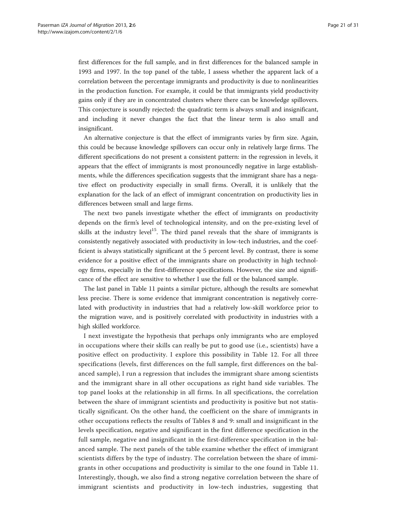first differences for the full sample, and in first differences for the balanced sample in 1993 and 1997. In the top panel of the table, I assess whether the apparent lack of a correlation between the percentage immigrants and productivity is due to nonlinearities in the production function. For example, it could be that immigrants yield productivity gains only if they are in concentrated clusters where there can be knowledge spillovers. This conjecture is soundly rejected: the quadratic term is always small and insignificant, and including it never changes the fact that the linear term is also small and insignificant.

An alternative conjecture is that the effect of immigrants varies by firm size. Again, this could be because knowledge spillovers can occur only in relatively large firms. The different specifications do not present a consistent pattern: in the regression in levels, it appears that the effect of immigrants is most pronouncedly negative in large establishments, while the differences specification suggests that the immigrant share has a negative effect on productivity especially in small firms. Overall, it is unlikely that the explanation for the lack of an effect of immigrant concentration on productivity lies in differences between small and large firms.

The next two panels investigate whether the effect of immigrants on productivity depends on the firm's level of technological intensity, and on the pre-existing level of skills at the industry level<sup>15</sup>. The third panel reveals that the share of immigrants is consistently negatively associated with productivity in low-tech industries, and the coefficient is always statistically significant at the 5 percent level. By contrast, there is some evidence for a positive effect of the immigrants share on productivity in high technology firms, especially in the first-difference specifications. However, the size and significance of the effect are sensitive to whether I use the full or the balanced sample.

The last panel in Table [11](#page-19-0) paints a similar picture, although the results are somewhat less precise. There is some evidence that immigrant concentration is negatively correlated with productivity in industries that had a relatively low-skill workforce prior to the migration wave, and is positively correlated with productivity in industries with a high skilled workforce.

I next investigate the hypothesis that perhaps only immigrants who are employed in occupations where their skills can really be put to good use (i.e., scientists) have a positive effect on productivity. I explore this possibility in Table [12](#page-21-0). For all three specifications (levels, first differences on the full sample, first differences on the balanced sample), I run a regression that includes the immigrant share among scientists and the immigrant share in all other occupations as right hand side variables. The top panel looks at the relationship in all firms. In all specifications, the correlation between the share of immigrant scientists and productivity is positive but not statistically significant. On the other hand, the coefficient on the share of immigrants in other occupations reflects the results of Tables [8](#page-16-0) and [9:](#page-17-0) small and insignificant in the levels specification, negative and significant in the first difference specification in the full sample, negative and insignificant in the first-difference specification in the balanced sample. The next panels of the table examine whether the effect of immigrant scientists differs by the type of industry. The correlation between the share of immigrants in other occupations and productivity is similar to the one found in Table [11](#page-19-0). Interestingly, though, we also find a strong negative correlation between the share of immigrant scientists and productivity in low-tech industries, suggesting that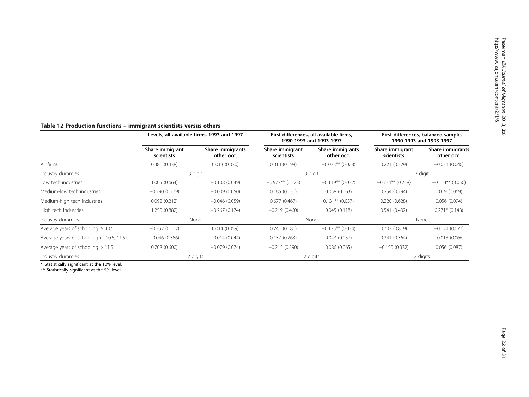# <span id="page-21-0"></span>Table 12 Production functions – immigrant scientists versus others

|                                               | Levels, all available firms, 1993 and 1997 |                                       |                               | First differences, all available firms,<br>1990-1993 and 1993-1997 |                               | First differences, balanced sample,<br>1990-1993 and 1993-1997 |
|-----------------------------------------------|--------------------------------------------|---------------------------------------|-------------------------------|--------------------------------------------------------------------|-------------------------------|----------------------------------------------------------------|
|                                               | Share immigrant<br>scientists              | <b>Share immigrants</b><br>other occ. | Share immigrant<br>scientists | Share immigrants<br>other occ.                                     | Share immigrant<br>scientists | <b>Share immigrants</b><br>other occ.                          |
| All firms                                     | 0.386(0.438)                               | 0.013(0.030)                          | 0.014(0.198)                  | $-0.073**$ (0.028)                                                 | 0.221(0.229)                  | $-0.034(0.040)$                                                |
| Industry dummies                              |                                            | 3 digit                               |                               | 3 digit                                                            |                               | 3 digit                                                        |
| Low tech industries                           | 1.005 (0.664)                              | $-0.108(0.049)$                       | $-0.977**$ (0.225)            | $-0.119**$ (0.032)                                                 | $-0.734**$ (0.258)            | $-0.154**$ (0.050)                                             |
| Medium-low tech industries                    | $-0.290(0.279)$                            | $-0.009(0.050)$                       | 0.185(0.131)                  | 0.058(0.063)                                                       | 0.254(0.294)                  | 0.019(0.069)                                                   |
| Medium-high tech industries                   | 0.092(0.212)                               | $-0.046(0.059)$                       | 0.677(0.467)                  | $0.131***$ (0.057)                                                 | 0.220(0.628)                  | 0.056(0.094)                                                   |
| High tech industries                          | 1.250 (0.882)                              | $-0.267(0.174)$                       | $-0.219(0.460)$               | 0.045(0.118)                                                       | 0.541(0.402)                  | $0.271*$ (0.148)                                               |
| Industry dummies                              |                                            | None                                  |                               | None                                                               |                               | None                                                           |
| Average years of schooling $\leq 10.5$        | $-0.352(0.512)$                            | 0.014(0.059)                          | 0.241(0.181)                  | $-0.125**$ (0.034)                                                 | 0.707(0.819)                  | $-0.124(0.077)$                                                |
| Average years of schooling $\in$ [10.5, 11.5) | $-0.046(0.386)$                            | $-0.014(0.044)$                       | 0.137(0.263)                  | 0.043(0.057)                                                       | 0.241(0.364)                  | $-0.013(0.066)$                                                |
| Average years of schooling $> 11.5$           | 0.708(0.600)                               | $-0.079(0.074)$                       | $-0.215(0.390)$               | 0.086(0.065)                                                       | $-0.150(0.332)$               | 0.056(0.087)                                                   |
| Industry dummies                              |                                            | 2 digits                              |                               | 2 digits                                                           |                               | 2 digits                                                       |

\*: Statistically significant at the 10% level.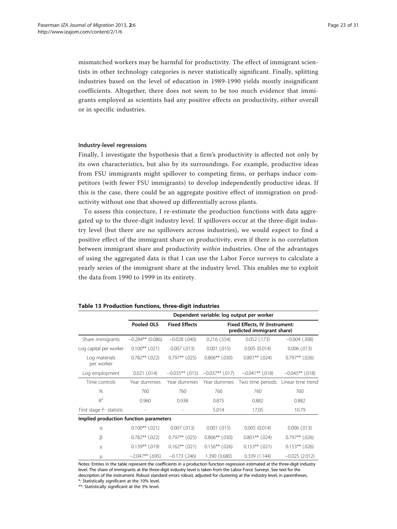<span id="page-22-0"></span>mismatched workers may be harmful for productivity. The effect of immigrant scientists in other technology categories is never statistically significant. Finally, splitting industries based on the level of education in 1989-1990 yields mostly insignificant coefficients. Altogether, there does not seem to be too much evidence that immigrants employed as scientists had any positive effects on productivity, either overall or in specific industries.

#### Industry-level regressions

Finally, I investigate the hypothesis that a firm's productivity is affected not only by its own characteristics, but also by its surroundings. For example, productive ideas from FSU immigrants might spillover to competing firms, or perhaps induce competitors (with fewer FSU immigrants) to develop independently productive ideas. If this is the case, there could be an aggregate positive effect of immigration on productivity without one that showed up differentially across plants.

To assess this conjecture, I re-estimate the production functions with data aggregated up to the three-digit industry level. If spillovers occur at the three-digit industry level (but there are no spillovers across industries), we would expect to find a positive effect of the immigrant share on productivity, even if there is no correlation between immigrant share and productivity within industries. One of the advantages of using the aggregated data is that I can use the Labor Force surveys to calculate a yearly series of the immigrant share at the industry level. This enables me to exploit the data from 1990 to 1999 in its entirety.

|                                        |                    |                      |                   | Dependent variable: log output per worker                    |                   |
|----------------------------------------|--------------------|----------------------|-------------------|--------------------------------------------------------------|-------------------|
|                                        | <b>Pooled OLS</b>  | <b>Fixed Effects</b> |                   | Fixed Effects, IV (Instrument:<br>predicted immigrant share) |                   |
| Share immigrants                       | $-0.284**$ (0.086) | $-0.028$ (.040)      | $0.216$ (.554)    | $0.052$ (.173)                                               | $-0.004$ (.308)   |
| Log capital per worker                 | $0.100***$ (.021)  | $0.007$ $(.013)$     | $0.001$ $(.015)$  | 0.005(0.014)                                                 | $0.006$ $(.013)$  |
| Log materials<br>per worker            | $0.782**$ (.022)   | $0.797**$ (.025)     | $0.806**$ (.030)  | $0.801**$ (.024)                                             | $0.797**$ (.026)  |
| Log employment                         | $0.021$ $(.014)$   | $-0.035***$ (.015)   | $-0.037**$ (.017) | $-0.041**$ (.018)                                            | $-0.045**$ (.018) |
| Time controls                          | Year dummies       | Year dummies         | Year dummies      | Two time periods                                             | Linear time trend |
| N                                      | 760                | 760                  | 760               | 760                                                          | 760               |
| $R^2$                                  | 0.960              | 0.938                | 0.875             | 0.882                                                        | 0.882             |
| First stage F- statistic               |                    |                      | 5.014             | 17.05                                                        | 10.79             |
| Implied production function parameters |                    |                      |                   |                                                              |                   |
| $\alpha$                               | $0.100***$ (.021)  | $0.007$ $(.013)$     | $0.001$ $(.015)$  | 0.005(0.014)                                                 | $0.006$ $(.013)$  |
| β                                      | $0.782**$ (.022)   | $0.797**$ (.025)     | $0.806**$ (.030)  | $0.801***$ (.024)                                            | $0.797**$ (.026)  |
| γ                                      | $0.139**$ (.019)   | $0.162**$ (.021)     | $0.156**$ (.026)  | $0.153**$ (.021)                                             | $0.153***$ (.026) |
| μ                                      | $-2.047**$ (.695)  | $-0.173$ (.246)      | 1.390 (3.680)     | 0.339(1.144)                                                 | $-0.025(2.012)$   |

#### Table 13 Production functions, three-digit industries

Notes: Entries in the table represent the coefficients in a production function regression estimated at the three-digit industry level. The share of immigrants at the three-digit industry level is taken from the Labor Force Surveys. See text for the description of the instrument. Robust standard errors robust, adjusted for clustering at the industry level, in parentheses. \*: Statistically significant at the 10% level.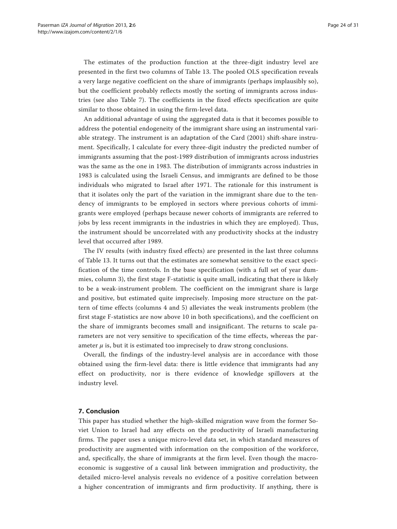<span id="page-23-0"></span>The estimates of the production function at the three-digit industry level are presented in the first two columns of Table [13](#page-22-0). The pooled OLS specification reveals a very large negative coefficient on the share of immigrants (perhaps implausibly so), but the coefficient probably reflects mostly the sorting of immigrants across industries (see also Table [7](#page-12-0)). The coefficients in the fixed effects specification are quite similar to those obtained in using the firm-level data.

An additional advantage of using the aggregated data is that it becomes possible to address the potential endogeneity of the immigrant share using an instrumental variable strategy. The instrument is an adaptation of the Card ([2001](#page-29-0)) shift-share instrument. Specifically, I calculate for every three-digit industry the predicted number of immigrants assuming that the post-1989 distribution of immigrants across industries was the same as the one in 1983. The distribution of immigrants across industries in 1983 is calculated using the Israeli Census, and immigrants are defined to be those individuals who migrated to Israel after 1971. The rationale for this instrument is that it isolates only the part of the variation in the immigrant share due to the tendency of immigrants to be employed in sectors where previous cohorts of immigrants were employed (perhaps because newer cohorts of immigrants are referred to jobs by less recent immigrants in the industries in which they are employed). Thus, the instrument should be uncorrelated with any productivity shocks at the industry level that occurred after 1989.

The IV results (with industry fixed effects) are presented in the last three columns of Table [13.](#page-22-0) It turns out that the estimates are somewhat sensitive to the exact specification of the time controls. In the base specification (with a full set of year dummies, column 3), the first stage F-statistic is quite small, indicating that there is likely to be a weak-instrument problem. The coefficient on the immigrant share is large and positive, but estimated quite imprecisely. Imposing more structure on the pattern of time effects (columns 4 and 5) alleviates the weak instruments problem (the first stage F-statistics are now above 10 in both specifications), and the coefficient on the share of immigrants becomes small and insignificant. The returns to scale parameters are not very sensitive to specification of the time effects, whereas the parameter  $\mu$  is, but it is estimated too imprecisely to draw strong conclusions.

Overall, the findings of the industry-level analysis are in accordance with those obtained using the firm-level data: there is little evidence that immigrants had any effect on productivity, nor is there evidence of knowledge spillovers at the industry level.

### 7. Conclusion

This paper has studied whether the high-skilled migration wave from the former Soviet Union to Israel had any effects on the productivity of Israeli manufacturing firms. The paper uses a unique micro-level data set, in which standard measures of productivity are augmented with information on the composition of the workforce, and, specifically, the share of immigrants at the firm level. Even though the macroeconomic is suggestive of a causal link between immigration and productivity, the detailed micro-level analysis reveals no evidence of a positive correlation between a higher concentration of immigrants and firm productivity. If anything, there is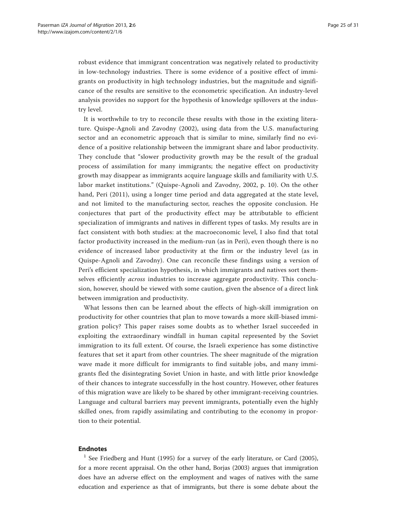robust evidence that immigrant concentration was negatively related to productivity in low-technology industries. There is some evidence of a positive effect of immigrants on productivity in high technology industries, but the magnitude and significance of the results are sensitive to the econometric specification. An industry-level analysis provides no support for the hypothesis of knowledge spillovers at the industry level.

It is worthwhile to try to reconcile these results with those in the existing literature. Quispe-Agnoli and Zavodny ([2002](#page-30-0)), using data from the U.S. manufacturing sector and an econometric approach that is similar to mine, similarly find no evidence of a positive relationship between the immigrant share and labor productivity. They conclude that "slower productivity growth may be the result of the gradual process of assimilation for many immigrants; the negative effect on productivity growth may disappear as immigrants acquire language skills and familiarity with U.S. labor market institutions." (Quispe-Agnoli and Zavodny, [2002,](#page-30-0) p. 10). On the other hand, Peri (2011), using a longer time period and data aggregated at the state level, and not limited to the manufacturing sector, reaches the opposite conclusion. He conjectures that part of the productivity effect may be attributable to efficient specialization of immigrants and natives in different types of tasks. My results are in fact consistent with both studies: at the macroeconomic level, I also find that total factor productivity increased in the medium-run (as in Peri), even though there is no evidence of increased labor productivity at the firm or the industry level (as in Quispe-Agnoli and Zavodny). One can reconcile these findings using a version of Peri's efficient specialization hypothesis, in which immigrants and natives sort themselves efficiently across industries to increase aggregate productivity. This conclusion, however, should be viewed with some caution, given the absence of a direct link between immigration and productivity.

What lessons then can be learned about the effects of high-skill immigration on productivity for other countries that plan to move towards a more skill-biased immigration policy? This paper raises some doubts as to whether Israel succeeded in exploiting the extraordinary windfall in human capital represented by the Soviet immigration to its full extent. Of course, the Israeli experience has some distinctive features that set it apart from other countries. The sheer magnitude of the migration wave made it more difficult for immigrants to find suitable jobs, and many immigrants fled the disintegrating Soviet Union in haste, and with little prior knowledge of their chances to integrate successfully in the host country. However, other features of this migration wave are likely to be shared by other immigrant-receiving countries. Language and cultural barriers may prevent immigrants, potentially even the highly skilled ones, from rapidly assimilating and contributing to the economy in proportion to their potential.

# Endnotes

<sup>1</sup> See Friedberg and Hunt ([1995](#page-29-0)) for a survey of the early literature, or Card ([2005](#page-29-0)), for a more recent appraisal. On the other hand, Borjas ([2003](#page-29-0)) argues that immigration does have an adverse effect on the employment and wages of natives with the same education and experience as that of immigrants, but there is some debate about the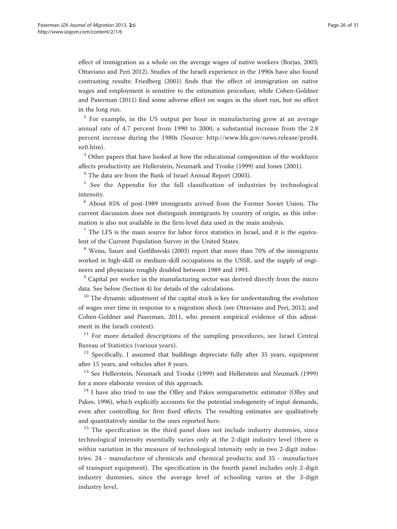effect of immigration as a whole on the average wages of native workers (Borjas, [2003](#page-29-0); Ottaviano and Peri [2012\)](#page-30-0). Studies of the Israeli experience in the 1990s have also found contrasting results: Friedberg ([2001](#page-29-0)) finds that the effect of immigration on native wages and employment is sensitive to the estimation procedure, while Cohen-Goldner and Paserman [\(2011\)](#page-29-0) find some adverse effect on wages in the short run, but no effect in the long run.

<sup>2</sup> For example, in the US output per hour in manufacturing grew at an average annual rate of 4.7 percent from 1990 to 2000, a substantial increase from the 2.8 percent increase during the 1980s (Source: [http://www.bls.gov/news.release/prod4.](http://www.bls.gov/news.release/prod4.nr0.htm) [nr0.htm\)](http://www.bls.gov/news.release/prod4.nr0.htm).

<sup>3</sup> Other papers that have looked at how the educational composition of the workforce affects productivity are Hellerstein, Neumark and Troske ([1999](#page-29-0)) and Jones [\(2001\)](#page-29-0).

 $4$  The data are from the Bank of Israel Annual Report ([2003](#page-29-0)).

<sup>5</sup> See the Appendix for the full classification of industries by technological intensity.

<sup>6</sup> About 85% of post-1989 immigrants arrived from the Former Soviet Union. The current discussion does not distinguish immigrants by country of origin, as this information is also not available in the firm-level data used in the main analysis.

 $<sup>7</sup>$  The LFS is the main source for labor force statistics in Israel, and it is the equiva-</sup> lent of the Current Population Survey in the United States.

<sup>8</sup> Weiss, Sauer and Gotlibovski [\(2003](#page-30-0)) report that more than 70% of the immigrants worked in high-skill or medium-skill occupations in the USSR, and the supply of engineers and physicians roughly doubled between 1989 and 1993.

<sup>9</sup> Capital per worker in the manufacturing sector was derived directly from the micro data. See below (Section [4\)](#page-5-0) for details of the calculations.

 $10$  The dynamic adjustment of the capital stock is key for understanding the evolution of wages over time in response to a migration shock (see Ottaviano and Peri, [2012](#page-30-0); and Cohen-Goldner and Paserman, [2011](#page-29-0), who present empirical evidence of this adjustment in the Israeli context).

 $11$  For more detailed descriptions of the sampling procedures, see [Israel Central](#page-29-0) [Bureau of Statistics \(various years](#page-29-0)).

 $12$  Specifically, I assumed that buildings depreciate fully after 35 years, equipment after 15 years, and vehicles after 8 years.

<sup>13</sup> See Hellerstein, Neumark and Troske ([1999\)](#page-29-0) and Hellerstein and Neumark ([1999](#page-29-0)) for a more elaborate version of this approach.

<sup>14</sup> I have also tried to use the Olley and Pakes semiparametric estimator (Olley and Pakes, [1996\)](#page-30-0), which explicitly accounts for the potential endogeneity of input demands, even after controlling for firm fixed effects. The resulting estimates are qualitatively and quantitatively similar to the ones reported here.

 $15$  The specification in the third panel does not include industry dummies, since technological intensity essentially varies only at the 2-digit industry level (there is within variation in the measure of technological intensity only in two 2-digit industries: 24 - manufacture of chemicals and chemical products; and 35 - manufacture of transport equipment). The specification in the fourth panel includes only 2-digit industry dummies, since the average level of schooling varies at the 3-digit industry level.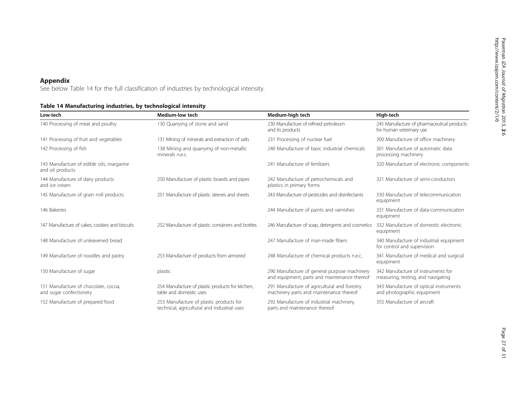# <span id="page-26-0"></span>Appendix

See below Table 14 for the full classification of industries by technological intensity.

| Table 14 Manufacturing industries, by technological intensity |  |  |  |
|---------------------------------------------------------------|--|--|--|
|---------------------------------------------------------------|--|--|--|

| Low-tech                                                        | <b>Medium-low tech</b>                                                                                                                                              | Medium-high tech                                                                             | High-tech                                                                |
|-----------------------------------------------------------------|---------------------------------------------------------------------------------------------------------------------------------------------------------------------|----------------------------------------------------------------------------------------------|--------------------------------------------------------------------------|
| 140 Processing of meat and poultry                              | 130 Quarrying of stone and sand                                                                                                                                     | 230 Manufacture of refined petroleum<br>and its products                                     | 245 Manufacture of pharmaceutical products<br>for human veterinary use   |
| 141 Processing of fruit and vegetables                          | 131 Mining of minerals and extraction of salts                                                                                                                      | 231 Processing of nuclear fuel                                                               | 300 Manufacture of office machinery                                      |
| 142 Processing of fish                                          | 138 Mining and quarrying of non-metallic<br>minerals n.e.c.                                                                                                         | 240 Manufacture of basic industrial chemicals                                                | 301 Manufacture of automatic data<br>processing machinery                |
| 143 Manufacture of edible oils, margarine<br>and oil products   |                                                                                                                                                                     | 241 Manufacture of fertilizers                                                               | 320 Manufacture of electronic components                                 |
| 144 Manufacture of dairy products<br>and ice cream              | 250 Manufacture of plastic boards and pipes                                                                                                                         | 242 Manufacture of petrochemicals and<br>plastics in primary forms                           | 321 Manufacture of semi-conductors                                       |
| 145 Manufacture of grain mill products                          | 251 Manufacture of plastic sleeves and sheets                                                                                                                       | 243 Manufacture of pesticides and disinfectants                                              | 330 Manufacture of telecommunication<br>equipment                        |
| 146 Bakeries                                                    |                                                                                                                                                                     | 244 Manufacture of paints and varnishes                                                      | 331 Manufacture of data-communication<br>equipment                       |
| 147 Manufacture of cakes, cookies and biscuits                  | 252 Manufacture of plastic containers and bottles                                                                                                                   | 246 Manufacture of soap, detergents and cosmetics                                            | 332 Manufacture of domestic electronic<br>equipment                      |
| 148 Manufacture of unleavened bread                             |                                                                                                                                                                     | 247 Manufacture of man-made fibers                                                           | 340 Manufacture of industrial equipment<br>for control and supervision   |
| 149 Manufacture of noodles and pastry                           | 253 Manufacture of products from armored                                                                                                                            | 248 Manufacture of chemical products n.e.c.                                                  | 341 Manufacture of medical and surgical<br>equipment                     |
| 150 Manufacture of sugar                                        | plastic                                                                                                                                                             | 290 Manufacture of general purpose machinery<br>and equipment, parts and maintenance thereof | 342 Manufacture of instruments for<br>measuring, testing, and navigating |
| 151 Manufacture of chocolate, cocoa,<br>and sugar confectionery | 254 Manufacture of plastic products for kitchen,<br>table and domestic uses                                                                                         | 291 Manufacture of agricultural and forestry<br>machinery parts and maintenance thereof      | 343 Manufacture of optical instruments<br>and photographic equipment     |
| 152 Manufacture of prepared food                                | 255 Manufacture of plastic products for<br>292 Manufacture of industrial machinery,<br>technical, agricultural and industrial uses<br>parts and maintenance thereof |                                                                                              | 355 Manufacture of aircraft                                              |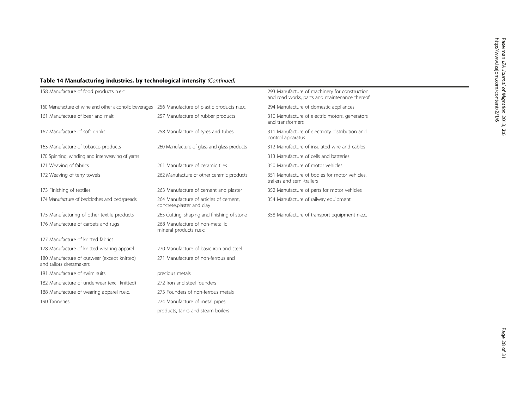# Table 14 Manufacturing industries, by technological intensity (Continued)

| 158 Manufacture of food products n.e.c                                                           |                                                                      | 293 Manufacture of machinery for construction<br>and road works, parts and maintenance thereof |
|--------------------------------------------------------------------------------------------------|----------------------------------------------------------------------|------------------------------------------------------------------------------------------------|
| 160 Manufacture of wine and other alcoholic beverages 256 Manufacture of plastic products n.e.c. |                                                                      | 294 Manufacture of domestic appliances                                                         |
| 161 Manufacture of beer and malt                                                                 | 257 Manufacture of rubber products                                   | 310 Manufacture of electric motors, generators<br>and transformers                             |
| 162 Manufacture of soft drinks                                                                   | 258 Manufacture of tyres and tubes                                   | 311 Manufacture of electricity distribution and<br>control apparatus                           |
| 163 Manufacture of tobacco products                                                              | 260 Manufacture of glass and glass products                          | 312 Manufacture of insulated wire and cables                                                   |
| 170 Spinning, winding and interweaving of yarns                                                  |                                                                      | 313 Manufacture of cells and batteries                                                         |
| 171 Weaving of fabrics                                                                           | 261 Manufacture of ceramic tiles                                     | 350 Manufacture of motor vehicles                                                              |
| 172 Weaving of terry towels                                                                      | 262 Manufacture of other ceramic products                            | 351 Manufacture of bodies for motor vehicles,<br>trailers and semi-trailers                    |
| 173 Finishing of textiles                                                                        | 263 Manufacture of cement and plaster                                | 352 Manufacture of parts for motor vehicles                                                    |
| 174 Manufacture of bedclothes and bedspreads                                                     | 264 Manufacture of articles of cement,<br>concrete, plaster and clay | 354 Manufacture of railway equipment                                                           |
| 175 Manufacturing of other textile products                                                      | 265 Cutting, shaping and finishing of stone                          | 358 Manufacture of transport equipment n.e.c.                                                  |
| 176 Manufacture of carpets and rugs                                                              | 268 Manufacture of non-metallic<br>mineral products n.e.c            |                                                                                                |
| 177 Manufacture of knitted fabrics                                                               |                                                                      |                                                                                                |
| 178 Manufacture of knitted wearing apparel                                                       | 270 Manufacture of basic iron and steel                              |                                                                                                |
| 180 Manufacture of outwear (except knitted)<br>and tailors dressmakers                           | 271 Manufacture of non-ferrous and                                   |                                                                                                |
| 181 Manufacture of swim suits                                                                    | precious metals                                                      |                                                                                                |
| 182 Manufacture of underwear (excl. knitted)                                                     | 272 Iron and steel founders                                          |                                                                                                |
| 188 Manufacture of wearing apparel n.e.c.                                                        | 273 Founders of non-ferrous metals                                   |                                                                                                |
| 190 Tanneries                                                                                    | 274 Manufacture of metal pipes                                       |                                                                                                |
|                                                                                                  | products, tanks and steam boilers                                    |                                                                                                |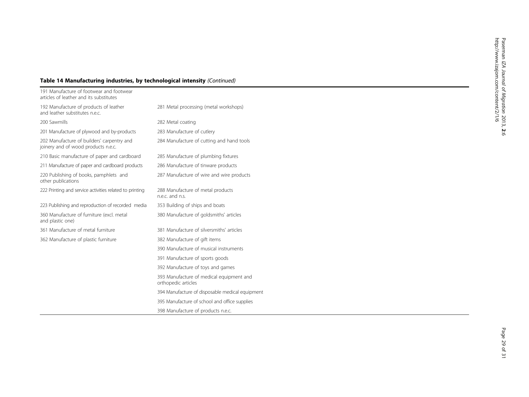# Table 14 Manufacturing industries, by technological intensity (Continued)

| 191 Manufacture of footwear and footwear<br>articles of leather and its substitutes |                                                                 |
|-------------------------------------------------------------------------------------|-----------------------------------------------------------------|
| 192 Manufacture of products of leather<br>and leather substitutes n.e.c.            | 281 Metal processing (metal workshops)                          |
| 200 Sawmills                                                                        | 282 Metal coating                                               |
| 201 Manufacture of plywood and by-products                                          | 283 Manufacture of cutlery                                      |
| 202 Manufacture of builders' carpentry and<br>joinery and of wood products n.e.c.   | 284 Manufacture of cutting and hand tools                       |
| 210 Basic manufacture of paper and cardboard                                        | 285 Manufacture of plumbing fixtures                            |
| 211 Manufacture of paper and cardboard products                                     | 286 Manufacture of tinware products                             |
| 220 Publishing of books, pamphlets and<br>other publications                        | 287 Manufacture of wire and wire products                       |
| 222 Printing and service activities related to printing                             | 288 Manufacture of metal products<br>n.e.c. and n.s.            |
| 223 Publishing and reproduction of recorded media                                   | 353 Building of ships and boats                                 |
| 360 Manufacture of furniture (excl. metal<br>and plastic one)                       | 380 Manufacture of goldsmiths' articles                         |
| 361 Manufacture of metal furniture                                                  | 381 Manufacture of silversmiths' articles                       |
| 362 Manufacture of plastic furniture                                                | 382 Manufacture of gift items                                   |
|                                                                                     | 390 Manufacture of musical instruments                          |
|                                                                                     | 391 Manufacture of sports goods                                 |
|                                                                                     | 392 Manufacture of toys and games                               |
|                                                                                     | 393 Manufacture of medical equipment and<br>orthopedic articles |
|                                                                                     | 394 Manufacture of disposable medical equipment                 |
|                                                                                     | 395 Manufacture of school and office supplies                   |
|                                                                                     | 398 Manufacture of products n.e.c.                              |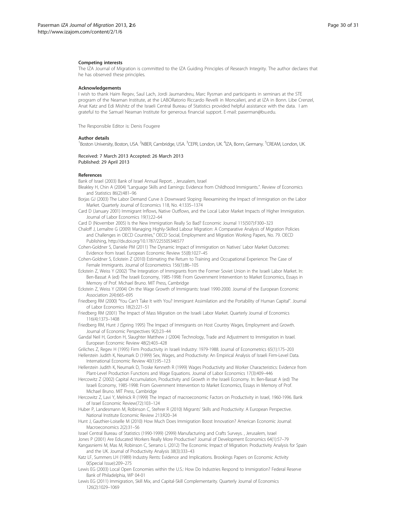#### <span id="page-29-0"></span>Competing interests

The IZA Journal of Migration is committed to the IZA Guiding Principles of Research Integrity. The author declares that he has observed these principles.

#### Acknowledgements

I wish to thank Haim Regev, Saul Lach, Jordi Jaumandreu, Marc Rysman and participants in seminars at the STE program of the Neaman Institute, at the LABORatorio Riccardo Revelli in Moncalieri, and at IZA in Bonn. Libe Crenzel, Anat Katz and Edi Mishitz of the Israeli Central Bureau of Statistics provided helpful assistance with the data. I am grateful to the Samuel Neaman Institute for generous financial support. E-mail: paserman@bu.edu.

The Responsible Editor is: Denis Fougere

#### Author details

<sup>1</sup>Boston University, Boston, USA. <sup>2</sup>NBER, Cambridge, USA. <sup>3</sup>CEPR, London, UK. <sup>4</sup>1ZA, Bonn, Germany. <sup>5</sup>CREAM, London, UK

#### Received: 7 March 2013 Accepted: 26 March 2013 Published: 29 April 2013

#### References

Bank of Israel (2003) Bank of Israel Annual Report. , Jerusalem, Israel

- Bleakley H, Chin A (2004) "Language Skills and Earnings: Evidence from Childhood Immigrants.". Review of Economics and Statistics 86(2):481–96
- Borjas GJ (2003) The Labor Demand Curve Is Downward Sloping: Reexamining the Impact of Immigration on the Labor Market. Quarterly Journal of Economics 118, No. 4:1335–1374
- Card D (January 2001) Immigrant Inflows, Native Outflows, and the Local Labor Market Impacts of Higher Immigration. Journal of Labor Economics 19(1):22–64
- Card D (November 2005) Is the New Immigration Really So Bad? Economic Journal 115(507):F300–323
- Chaloff J, Lemaître G (2009) Managing Highly-Skilled Labour Migration: A Comparative Analysis of Migration Policies and Challenges in OECD Countries," OECD Social, Employment and Migration Working Papers, No. 79. OECD Publishing, http://dx.doi.org/10.1787/225505346577
- Cohen-Goldner S, Daniele PM (2011) The Dynamic Impact of Immigration on Natives' Labor Market Outcomes: Evidence from Israel. European Economic Review 55(8):1027–45
- Cohen-Goldner S, Eckstein Z (2010) Estimating the Return to Training and Occupational Experience: The Case of Female Immigrants. Journal of Econometrics 156(1):86–105
- Eckstein Z, Weiss Y (2002) 'The Integration of Immigrants from the Former Soviet Union in the Israeli Labor Market. In: Ben-Bassat A (ed) The Israeli Economy, 1985-1998: From Government Intervention to Market Economics, Essays in Memory of Prof. Michael Bruno. MIT Press, Cambridge
- Eckstein Z, Weiss Y (2004) On the Wage Growth of Immigrants: Israel 1990-2000. Journal of the European Economic Association 2(4):665–695
- Friedberg RM (2000) "You Can't Take It with You? Immigrant Assimilation and the Portability of Human Capital". Journal of Labor Economics 18(2):221–51
- Friedberg RM (2001) The Impact of Mass Migration on the Israeli Labor Market. Quarterly Journal of Economics 116(4):1373–1408
- Friedberg RM, Hunt J (Spring 1995) The Impact of Immigrants on Host Country Wages, Employment and Growth. Journal of Economic Perspectives 9(2):23–44

Gandal Neil H, Gordon H, Slaughter Matthew J (2004) Technology, Trade and Adjustment to Immigration in Israel. European Economic Review 48(2):403–428

- Griliches Z, Regev H (1995) Firm Productivity in Israeli Industry: 1979-1988. Journal of Econometrics 65(1):175–203
- Hellerstein Judith K, Neumark D (1999) Sex, Wages, and Productivity: An Empirical Analysis of Israeli Firm-Level Data. International Economic Review 40(1):95–123
- Hellerstein Judith K, Neumark D, Troske Kenneth R (1999) Wages Productivity and Worker Characteristics: Evidence from Plant-Level Production Functions and Wage Equations. Journal of Labor Economics 17(3):409–446
- Hercowitz Z (2002) Capital Accumulation, Productivity and Growth in the Israeli Economy. In: Ben-Bassat A (ed) The Israeli Economy, 1985-1998: From Government Intervention to Market Economics, Essays in Memory of Prof. Michael Bruno. MIT Press, Cambridge
- Hercowitz Z, Lavi Y, Melnick R (1999) The Impact of macroeconomic Factors on Productivity in Israel, 1960-1996. Bank of Israel Economic Review(72):103–124
- Huber P, Landesmann M, Robinson C, Stehrer R (2010) Migrants' Skills and Productivity: A European Perspective. National Institute Economic Review 213:R20–34
- Hunt J, Gauthier-Loiselle M (2010) How Much Does Immigration Boost Innovation? American Economic Journal: Macroeconomics 2(2):31–56

Israel Central Bureau of Statistics (1990-1999) (2999) Manufacturing and Crafts Surveys. , Jerusalem, Israel Jones P (2001) Are Educated Workers Really More Productive? Journal of Development Economics 64(1):57–79 Kangasniemi M, Mas M, Robinson C, Serrano L (2012) The Economic Impact of Migration: Productivity Analysis for Spain

- and the UK. Journal of Productivity Analysis 38(3):333–43 Katz LF, Summers LH (1989) Industry Rents: Evidence and Implications. Brookings Papers on Economic Activity 0(Special Issue):209–275
- Lewis EG (2003) Local Open Economies within the U.S.: How Do Industries Respond to Immigration? Federal Reserve Bank of Philadelphia, WP 04-01
- Lewis EG (2011) Immigration, Skill Mix, and Capital-Skill Complementarity. Quarterly Journal of Economics 126(2):1029–1069